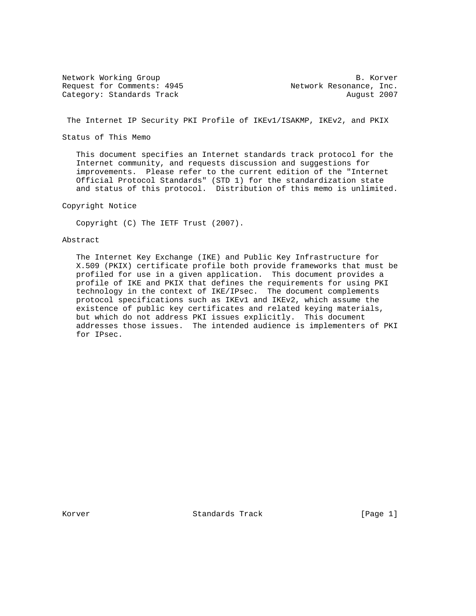Network Working Group B. Korver Request for Comments: 4945 Network Resonance, Inc. Category: Standards Track August 2007

The Internet IP Security PKI Profile of IKEv1/ISAKMP, IKEv2, and PKIX

Status of This Memo

 This document specifies an Internet standards track protocol for the Internet community, and requests discussion and suggestions for improvements. Please refer to the current edition of the "Internet Official Protocol Standards" (STD 1) for the standardization state and status of this protocol. Distribution of this memo is unlimited.

Copyright Notice

Copyright (C) The IETF Trust (2007).

## Abstract

 The Internet Key Exchange (IKE) and Public Key Infrastructure for X.509 (PKIX) certificate profile both provide frameworks that must be profiled for use in a given application. This document provides a profile of IKE and PKIX that defines the requirements for using PKI technology in the context of IKE/IPsec. The document complements protocol specifications such as IKEv1 and IKEv2, which assume the existence of public key certificates and related keying materials, but which do not address PKI issues explicitly. This document addresses those issues. The intended audience is implementers of PKI for IPsec.

Korver **Standards Track** [Page 1]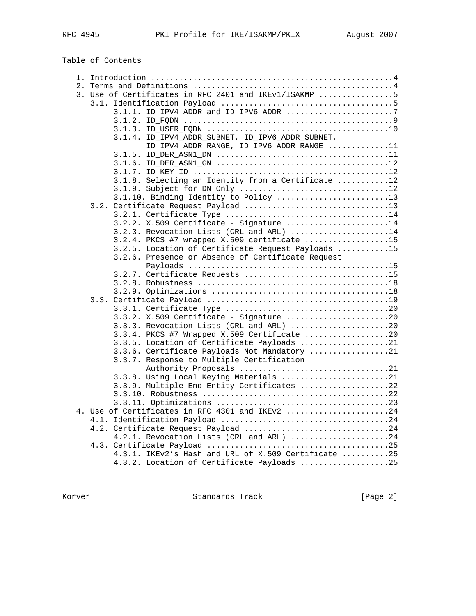Table of Contents

| 3. Use of Certificates in RFC 2401 and IKEv1/ISAKMP 5                      |
|----------------------------------------------------------------------------|
|                                                                            |
|                                                                            |
|                                                                            |
|                                                                            |
| 3.1.4. ID_IPV4_ADDR_SUBNET, ID_IPV6_ADDR_SUBNET,                           |
| $\verb ID_IPV4_ADDR_RANGE , \verb ID_IPV6_ADDR_RANGE , \verb  , \verb  1 $ |
|                                                                            |
|                                                                            |
|                                                                            |
| 3.1.8. Selecting an Identity from a Certificate 12                         |
| 3.1.9. Subject for DN Only 12                                              |
| 3.1.10. Binding Identity to Policy 13                                      |
|                                                                            |
|                                                                            |
| 3.2.2. X.509 Certificate - Signature 14                                    |
| 3.2.3. Revocation Lists (CRL and ARL) 14                                   |
| 3.2.4. PKCS #7 wrapped X.509 certificate 15                                |
| 3.2.5. Location of Certificate Request Payloads 15                         |
| 3.2.6. Presence or Absence of Certificate Request                          |
|                                                                            |
|                                                                            |
|                                                                            |
|                                                                            |
|                                                                            |
|                                                                            |
| 3.3.2. X.509 Certificate - Signature 20                                    |
| 3.3.3. Revocation Lists (CRL and ARL) 20                                   |
| $3.3.4.$ PKCS #7 Wrapped X.509 Certificate 20                              |
| 3.3.5. Location of Certificate Payloads 21                                 |
| 3.3.6. Certificate Payloads Not Mandatory 21                               |
| 3.3.7. Response to Multiple Certification                                  |
|                                                                            |
| 3.3.8. Using Local Keying Materials 21                                     |
| 3.3.9. Multiple End-Entity Certificates 22                                 |
|                                                                            |
|                                                                            |
| 4. Use of Certificates in RFC 4301 and IKEv2 24                            |
|                                                                            |
| 4.2. Certificate Request Payload 24                                        |
| 4.2.1. Revocation Lists (CRL and ARL) 24                                   |
|                                                                            |
| 4.3.1. IKEv2's Hash and URL of X.509 Certificate 25                        |
| 4.3.2. Location of Certificate Payloads 25                                 |

Korver Standards Track [Page 2]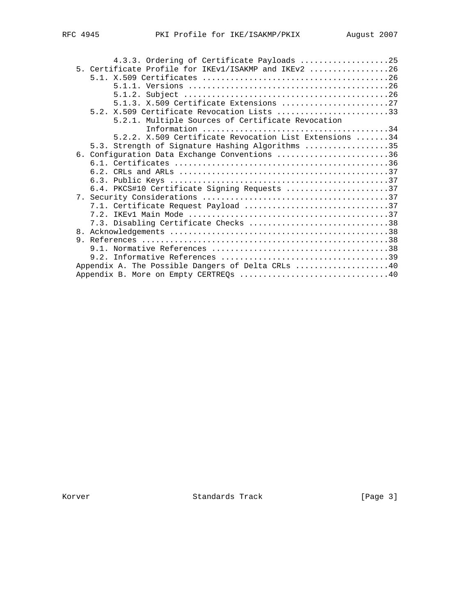| 5. Certificate Profile for IKEv1/ISAKMP and IKEv2 26<br>5.1.3. X.509 Certificate Extensions 27<br>$5.2. X.509$ Certificate Revocation Lists 33<br>5.2.1. Multiple Sources of Certificate Revocation<br>5.2.2. X.509 Certificate Revocation List Extensions 34<br>5.3. Strength of Signature Hashing Algorithms 35<br>6. Configuration Data Exchange Conventions 36<br>6.4. PKCS#10 Certificate Signing Requests 37<br>7.1. Certificate Request Payload 37<br>7.3. Disabling Certificate Checks 38<br>Appendix A. The Possible Dangers of Delta CRLs 40<br>Appendix B. More on Empty CERTREQs 40 |  | 4.3.3. Ordering of Certificate Payloads 25 |  |
|-------------------------------------------------------------------------------------------------------------------------------------------------------------------------------------------------------------------------------------------------------------------------------------------------------------------------------------------------------------------------------------------------------------------------------------------------------------------------------------------------------------------------------------------------------------------------------------------------|--|--------------------------------------------|--|
|                                                                                                                                                                                                                                                                                                                                                                                                                                                                                                                                                                                                 |  |                                            |  |
|                                                                                                                                                                                                                                                                                                                                                                                                                                                                                                                                                                                                 |  |                                            |  |
|                                                                                                                                                                                                                                                                                                                                                                                                                                                                                                                                                                                                 |  |                                            |  |
|                                                                                                                                                                                                                                                                                                                                                                                                                                                                                                                                                                                                 |  |                                            |  |
|                                                                                                                                                                                                                                                                                                                                                                                                                                                                                                                                                                                                 |  |                                            |  |
|                                                                                                                                                                                                                                                                                                                                                                                                                                                                                                                                                                                                 |  |                                            |  |
|                                                                                                                                                                                                                                                                                                                                                                                                                                                                                                                                                                                                 |  |                                            |  |
|                                                                                                                                                                                                                                                                                                                                                                                                                                                                                                                                                                                                 |  |                                            |  |
|                                                                                                                                                                                                                                                                                                                                                                                                                                                                                                                                                                                                 |  |                                            |  |
|                                                                                                                                                                                                                                                                                                                                                                                                                                                                                                                                                                                                 |  |                                            |  |
|                                                                                                                                                                                                                                                                                                                                                                                                                                                                                                                                                                                                 |  |                                            |  |
|                                                                                                                                                                                                                                                                                                                                                                                                                                                                                                                                                                                                 |  |                                            |  |
|                                                                                                                                                                                                                                                                                                                                                                                                                                                                                                                                                                                                 |  |                                            |  |
|                                                                                                                                                                                                                                                                                                                                                                                                                                                                                                                                                                                                 |  |                                            |  |
|                                                                                                                                                                                                                                                                                                                                                                                                                                                                                                                                                                                                 |  |                                            |  |
|                                                                                                                                                                                                                                                                                                                                                                                                                                                                                                                                                                                                 |  |                                            |  |
|                                                                                                                                                                                                                                                                                                                                                                                                                                                                                                                                                                                                 |  |                                            |  |
|                                                                                                                                                                                                                                                                                                                                                                                                                                                                                                                                                                                                 |  |                                            |  |
|                                                                                                                                                                                                                                                                                                                                                                                                                                                                                                                                                                                                 |  |                                            |  |
|                                                                                                                                                                                                                                                                                                                                                                                                                                                                                                                                                                                                 |  |                                            |  |
|                                                                                                                                                                                                                                                                                                                                                                                                                                                                                                                                                                                                 |  |                                            |  |
|                                                                                                                                                                                                                                                                                                                                                                                                                                                                                                                                                                                                 |  |                                            |  |
|                                                                                                                                                                                                                                                                                                                                                                                                                                                                                                                                                                                                 |  |                                            |  |
|                                                                                                                                                                                                                                                                                                                                                                                                                                                                                                                                                                                                 |  |                                            |  |
|                                                                                                                                                                                                                                                                                                                                                                                                                                                                                                                                                                                                 |  |                                            |  |

Korver Standards Track [Page 3]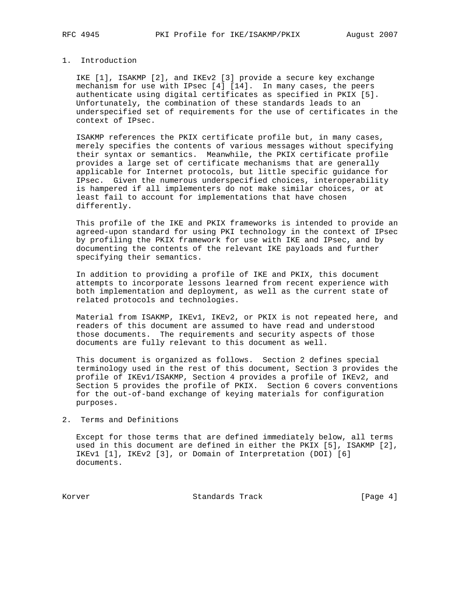## 1. Introduction

 IKE [1], ISAKMP [2], and IKEv2 [3] provide a secure key exchange mechanism for use with IPsec [4] [14]. In many cases, the peers authenticate using digital certificates as specified in PKIX [5]. Unfortunately, the combination of these standards leads to an underspecified set of requirements for the use of certificates in the context of IPsec.

 ISAKMP references the PKIX certificate profile but, in many cases, merely specifies the contents of various messages without specifying their syntax or semantics. Meanwhile, the PKIX certificate profile provides a large set of certificate mechanisms that are generally applicable for Internet protocols, but little specific guidance for IPsec. Given the numerous underspecified choices, interoperability is hampered if all implementers do not make similar choices, or at least fail to account for implementations that have chosen differently.

 This profile of the IKE and PKIX frameworks is intended to provide an agreed-upon standard for using PKI technology in the context of IPsec by profiling the PKIX framework for use with IKE and IPsec, and by documenting the contents of the relevant IKE payloads and further specifying their semantics.

 In addition to providing a profile of IKE and PKIX, this document attempts to incorporate lessons learned from recent experience with both implementation and deployment, as well as the current state of related protocols and technologies.

 Material from ISAKMP, IKEv1, IKEv2, or PKIX is not repeated here, and readers of this document are assumed to have read and understood those documents. The requirements and security aspects of those documents are fully relevant to this document as well.

 This document is organized as follows. Section 2 defines special terminology used in the rest of this document, Section 3 provides the profile of IKEv1/ISAKMP, Section 4 provides a profile of IKEv2, and Section 5 provides the profile of PKIX. Section 6 covers conventions for the out-of-band exchange of keying materials for configuration purposes.

## 2. Terms and Definitions

 Except for those terms that are defined immediately below, all terms used in this document are defined in either the PKIX [5], ISAKMP [2], IKEv1 [1], IKEv2 [3], or Domain of Interpretation (DOI) [6] documents.

Korver **Standards Track** [Page 4]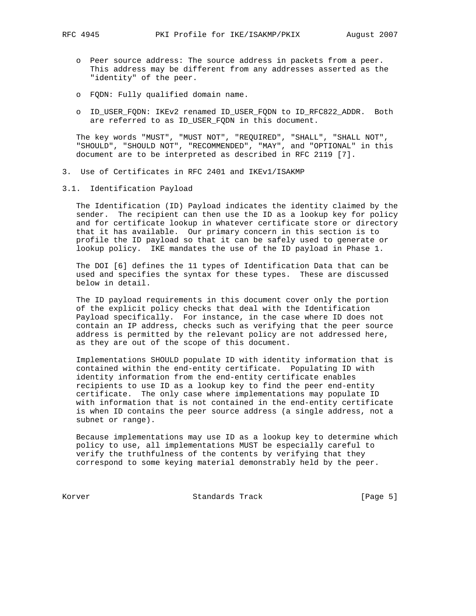- o Peer source address: The source address in packets from a peer. This address may be different from any addresses asserted as the "identity" of the peer.
- o FQDN: Fully qualified domain name.
- o ID\_USER\_FQDN: IKEv2 renamed ID\_USER\_FQDN to ID\_RFC822\_ADDR. Both are referred to as ID\_USER\_FQDN in this document.

 The key words "MUST", "MUST NOT", "REQUIRED", "SHALL", "SHALL NOT", "SHOULD", "SHOULD NOT", "RECOMMENDED", "MAY", and "OPTIONAL" in this document are to be interpreted as described in RFC 2119 [7].

- 3. Use of Certificates in RFC 2401 and IKEv1/ISAKMP
- 3.1. Identification Payload

 The Identification (ID) Payload indicates the identity claimed by the sender. The recipient can then use the ID as a lookup key for policy and for certificate lookup in whatever certificate store or directory that it has available. Our primary concern in this section is to profile the ID payload so that it can be safely used to generate or lookup policy. IKE mandates the use of the ID payload in Phase 1.

 The DOI [6] defines the 11 types of Identification Data that can be used and specifies the syntax for these types. These are discussed below in detail.

 The ID payload requirements in this document cover only the portion of the explicit policy checks that deal with the Identification Payload specifically. For instance, in the case where ID does not contain an IP address, checks such as verifying that the peer source address is permitted by the relevant policy are not addressed here, as they are out of the scope of this document.

 Implementations SHOULD populate ID with identity information that is contained within the end-entity certificate. Populating ID with identity information from the end-entity certificate enables recipients to use ID as a lookup key to find the peer end-entity certificate. The only case where implementations may populate ID with information that is not contained in the end-entity certificate is when ID contains the peer source address (a single address, not a subnet or range).

 Because implementations may use ID as a lookup key to determine which policy to use, all implementations MUST be especially careful to verify the truthfulness of the contents by verifying that they correspond to some keying material demonstrably held by the peer.

Korver Standards Track [Page 5]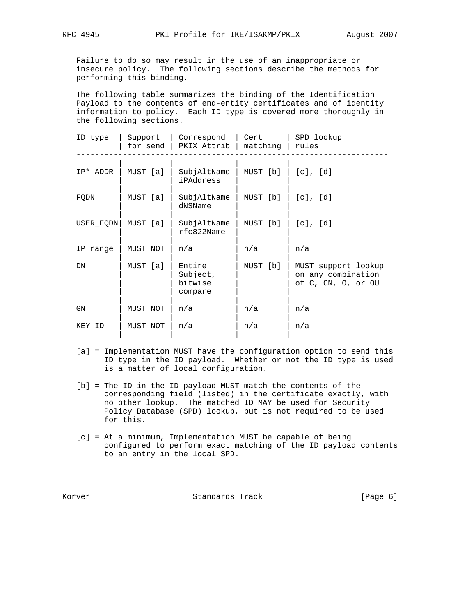Failure to do so may result in the use of an inappropriate or insecure policy. The following sections describe the methods for performing this binding.

 The following table summarizes the binding of the Identification Payload to the contents of end-entity certificates and of identity information to policy. Each ID type is covered more thoroughly in the following sections.

| ID type   | Support  | Correspond<br>for send $ $ PKIX Attrib $ $ | Cert<br>matching | SPD lookup<br>rules                                             |  |
|-----------|----------|--------------------------------------------|------------------|-----------------------------------------------------------------|--|
| IP* ADDR  | MUST [a] | SubjAltName<br>iPAddress                   | MUST [b]         | $[c]$ , $[d]$                                                   |  |
| FQDN      | MUST [a] | SubjAltName<br>dNSName                     | MUST [b]         | $[c]$ , $[d]$                                                   |  |
| USER FODN | MUST [a] | SubjAltName<br>$rfc822$ Name               | MUST [b]         | [c], [d]                                                        |  |
| IP range  | MUST NOT | n/a                                        | n/a              | n/a                                                             |  |
| DN        | MUST [a] | Entire<br>Subject,<br>bitwise<br>compare   | MUST [b]         | MUST support lookup<br>on any combination<br>of C, CN, O, or OU |  |
| GN        | MUST NOT | n/a                                        | n/a              | n/a                                                             |  |
| KEY ID    | MUST NOT | n/a                                        | n/a              | n/a                                                             |  |
|           |          |                                            |                  |                                                                 |  |

- [a] = Implementation MUST have the configuration option to send this ID type in the ID payload. Whether or not the ID type is used is a matter of local configuration.
- [b] = The ID in the ID payload MUST match the contents of the corresponding field (listed) in the certificate exactly, with no other lookup. The matched ID MAY be used for Security Policy Database (SPD) lookup, but is not required to be used for this.
- [c] = At a minimum, Implementation MUST be capable of being configured to perform exact matching of the ID payload contents to an entry in the local SPD.

Korver **Standards Track** [Page 6]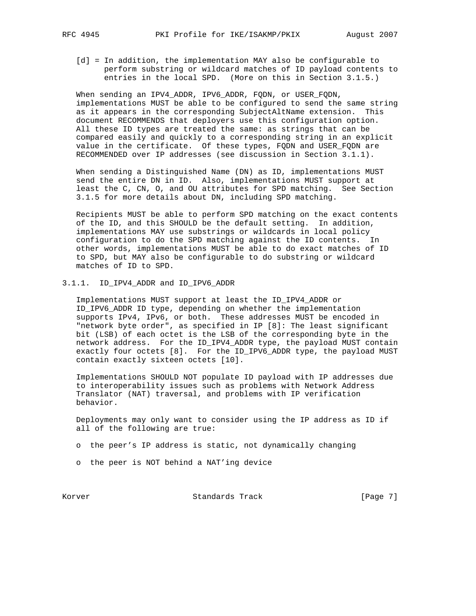- - [d] = In addition, the implementation MAY also be configurable to perform substring or wildcard matches of ID payload contents to entries in the local SPD. (More on this in Section 3.1.5.)

 When sending an IPV4\_ADDR, IPV6\_ADDR, FQDN, or USER\_FQDN, implementations MUST be able to be configured to send the same string as it appears in the corresponding SubjectAltName extension. This document RECOMMENDS that deployers use this configuration option. All these ID types are treated the same: as strings that can be compared easily and quickly to a corresponding string in an explicit value in the certificate. Of these types, FQDN and USER\_FQDN are RECOMMENDED over IP addresses (see discussion in Section 3.1.1).

 When sending a Distinguished Name (DN) as ID, implementations MUST send the entire DN in ID. Also, implementations MUST support at least the C, CN, O, and OU attributes for SPD matching. See Section 3.1.5 for more details about DN, including SPD matching.

 Recipients MUST be able to perform SPD matching on the exact contents of the ID, and this SHOULD be the default setting. In addition, implementations MAY use substrings or wildcards in local policy configuration to do the SPD matching against the ID contents. In other words, implementations MUST be able to do exact matches of ID to SPD, but MAY also be configurable to do substring or wildcard matches of ID to SPD.

3.1.1. ID\_IPV4\_ADDR and ID\_IPV6\_ADDR

 Implementations MUST support at least the ID\_IPV4\_ADDR or ID\_IPV6\_ADDR ID type, depending on whether the implementation supports IPv4, IPv6, or both. These addresses MUST be encoded in "network byte order", as specified in IP [8]: The least significant bit (LSB) of each octet is the LSB of the corresponding byte in the network address. For the ID\_IPV4\_ADDR type, the payload MUST contain exactly four octets [8]. For the ID\_IPV6\_ADDR type, the payload MUST contain exactly sixteen octets [10].

 Implementations SHOULD NOT populate ID payload with IP addresses due to interoperability issues such as problems with Network Address Translator (NAT) traversal, and problems with IP verification behavior.

 Deployments may only want to consider using the IP address as ID if all of the following are true:

- o the peer's IP address is static, not dynamically changing
- o the peer is NOT behind a NAT'ing device

Korver Standards Track [Page 7]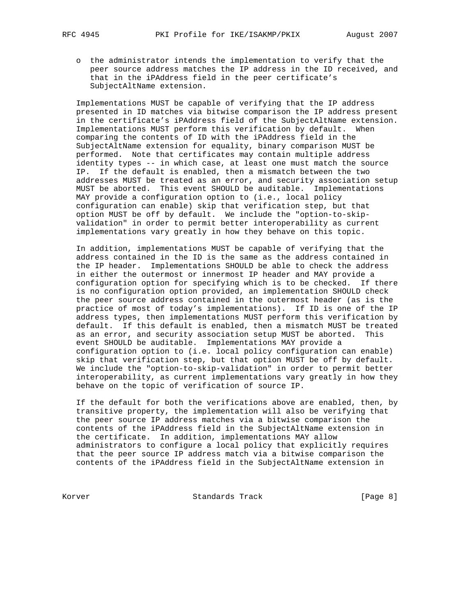o the administrator intends the implementation to verify that the peer source address matches the IP address in the ID received, and that in the iPAddress field in the peer certificate's SubjectAltName extension.

 Implementations MUST be capable of verifying that the IP address presented in ID matches via bitwise comparison the IP address present in the certificate's iPAddress field of the SubjectAltName extension. Implementations MUST perform this verification by default. When comparing the contents of ID with the iPAddress field in the SubjectAltName extension for equality, binary comparison MUST be performed. Note that certificates may contain multiple address identity types -- in which case, at least one must match the source IP. If the default is enabled, then a mismatch between the two addresses MUST be treated as an error, and security association setup MUST be aborted. This event SHOULD be auditable. Implementations MAY provide a configuration option to (i.e., local policy configuration can enable) skip that verification step, but that option MUST be off by default. We include the "option-to-skip validation" in order to permit better interoperability as current implementations vary greatly in how they behave on this topic.

 In addition, implementations MUST be capable of verifying that the address contained in the ID is the same as the address contained in the IP header. Implementations SHOULD be able to check the address in either the outermost or innermost IP header and MAY provide a configuration option for specifying which is to be checked. If there is no configuration option provided, an implementation SHOULD check the peer source address contained in the outermost header (as is the practice of most of today's implementations). If ID is one of the IP address types, then implementations MUST perform this verification by default. If this default is enabled, then a mismatch MUST be treated as an error, and security association setup MUST be aborted. This event SHOULD be auditable. Implementations MAY provide a configuration option to (i.e. local policy configuration can enable) skip that verification step, but that option MUST be off by default. We include the "option-to-skip-validation" in order to permit better interoperability, as current implementations vary greatly in how they behave on the topic of verification of source IP.

 If the default for both the verifications above are enabled, then, by transitive property, the implementation will also be verifying that the peer source IP address matches via a bitwise comparison the contents of the iPAddress field in the SubjectAltName extension in the certificate. In addition, implementations MAY allow administrators to configure a local policy that explicitly requires that the peer source IP address match via a bitwise comparison the contents of the iPAddress field in the SubjectAltName extension in

Korver Standards Track [Page 8]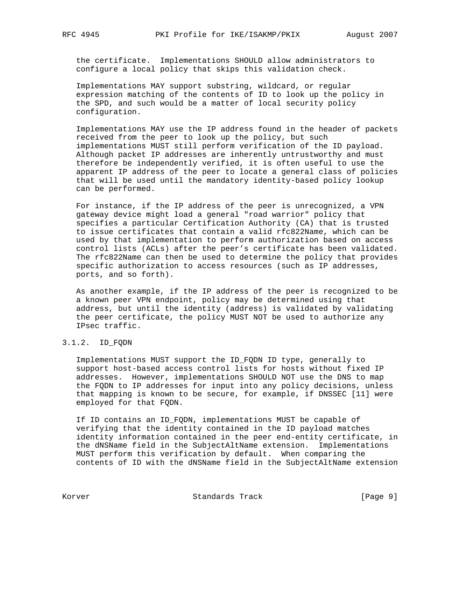the certificate. Implementations SHOULD allow administrators to configure a local policy that skips this validation check.

 Implementations MAY support substring, wildcard, or regular expression matching of the contents of ID to look up the policy in the SPD, and such would be a matter of local security policy configuration.

 Implementations MAY use the IP address found in the header of packets received from the peer to look up the policy, but such implementations MUST still perform verification of the ID payload. Although packet IP addresses are inherently untrustworthy and must therefore be independently verified, it is often useful to use the apparent IP address of the peer to locate a general class of policies that will be used until the mandatory identity-based policy lookup can be performed.

 For instance, if the IP address of the peer is unrecognized, a VPN gateway device might load a general "road warrior" policy that specifies a particular Certification Authority (CA) that is trusted to issue certificates that contain a valid rfc822Name, which can be used by that implementation to perform authorization based on access control lists (ACLs) after the peer's certificate has been validated. The rfc822Name can then be used to determine the policy that provides specific authorization to access resources (such as IP addresses, ports, and so forth).

 As another example, if the IP address of the peer is recognized to be a known peer VPN endpoint, policy may be determined using that address, but until the identity (address) is validated by validating the peer certificate, the policy MUST NOT be used to authorize any IPsec traffic.

## 3.1.2. ID\_FQDN

 Implementations MUST support the ID\_FQDN ID type, generally to support host-based access control lists for hosts without fixed IP addresses. However, implementations SHOULD NOT use the DNS to map the FQDN to IP addresses for input into any policy decisions, unless that mapping is known to be secure, for example, if DNSSEC [11] were employed for that FQDN.

 If ID contains an ID\_FQDN, implementations MUST be capable of verifying that the identity contained in the ID payload matches identity information contained in the peer end-entity certificate, in the dNSName field in the SubjectAltName extension. Implementations MUST perform this verification by default. When comparing the contents of ID with the dNSName field in the SubjectAltName extension

Korver Standards Track [Page 9]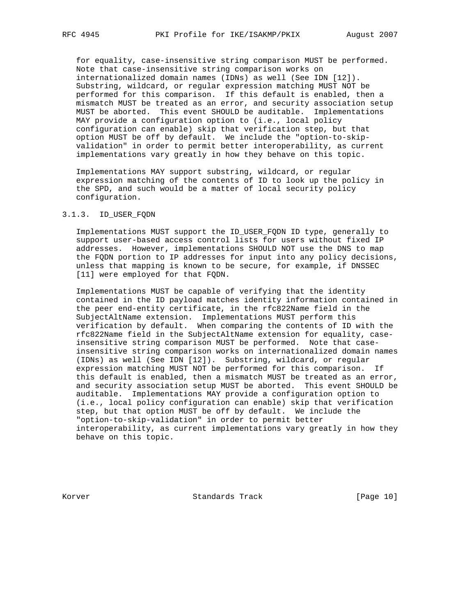for equality, case-insensitive string comparison MUST be performed. Note that case-insensitive string comparison works on internationalized domain names (IDNs) as well (See IDN [12]). Substring, wildcard, or regular expression matching MUST NOT be performed for this comparison. If this default is enabled, then a mismatch MUST be treated as an error, and security association setup MUST be aborted. This event SHOULD be auditable. Implementations MAY provide a configuration option to (i.e., local policy configuration can enable) skip that verification step, but that option MUST be off by default. We include the "option-to-skip validation" in order to permit better interoperability, as current implementations vary greatly in how they behave on this topic.

 Implementations MAY support substring, wildcard, or regular expression matching of the contents of ID to look up the policy in the SPD, and such would be a matter of local security policy configuration.

#### 3.1.3. ID\_USER\_FQDN

 Implementations MUST support the ID\_USER\_FQDN ID type, generally to support user-based access control lists for users without fixed IP addresses. However, implementations SHOULD NOT use the DNS to map the FQDN portion to IP addresses for input into any policy decisions, unless that mapping is known to be secure, for example, if DNSSEC [11] were employed for that FQDN.

 Implementations MUST be capable of verifying that the identity contained in the ID payload matches identity information contained in the peer end-entity certificate, in the rfc822Name field in the SubjectAltName extension. Implementations MUST perform this verification by default. When comparing the contents of ID with the rfc822Name field in the SubjectAltName extension for equality, case insensitive string comparison MUST be performed. Note that case insensitive string comparison works on internationalized domain names (IDNs) as well (See IDN [12]). Substring, wildcard, or regular expression matching MUST NOT be performed for this comparison. If this default is enabled, then a mismatch MUST be treated as an error, and security association setup MUST be aborted. This event SHOULD be auditable. Implementations MAY provide a configuration option to (i.e., local policy configuration can enable) skip that verification step, but that option MUST be off by default. We include the "option-to-skip-validation" in order to permit better interoperability, as current implementations vary greatly in how they behave on this topic.

Korver Standards Track [Page 10]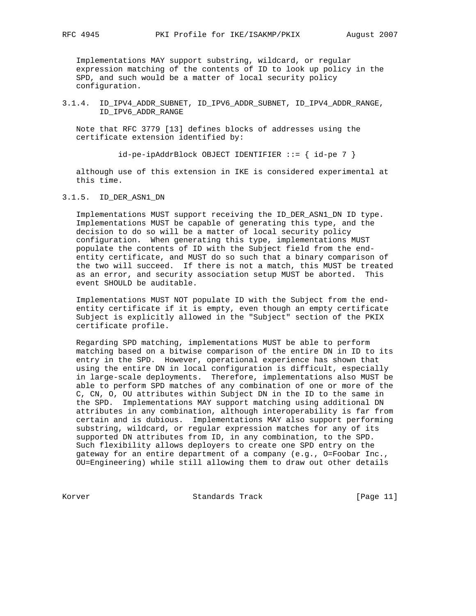Implementations MAY support substring, wildcard, or regular expression matching of the contents of ID to look up policy in the SPD, and such would be a matter of local security policy configuration.

## 3.1.4. ID\_IPV4\_ADDR\_SUBNET, ID\_IPV6\_ADDR\_SUBNET, ID\_IPV4\_ADDR\_RANGE, ID\_IPV6\_ADDR\_RANGE

 Note that RFC 3779 [13] defines blocks of addresses using the certificate extension identified by:

id-pe-ipAddrBlock OBJECT IDENTIFIER ::= { id-pe 7 }

 although use of this extension in IKE is considered experimental at this time.

#### 3.1.5. ID\_DER\_ASN1\_DN

 Implementations MUST support receiving the ID\_DER\_ASN1\_DN ID type. Implementations MUST be capable of generating this type, and the decision to do so will be a matter of local security policy configuration. When generating this type, implementations MUST populate the contents of ID with the Subject field from the end entity certificate, and MUST do so such that a binary comparison of the two will succeed. If there is not a match, this MUST be treated as an error, and security association setup MUST be aborted. This event SHOULD be auditable.

 Implementations MUST NOT populate ID with the Subject from the end entity certificate if it is empty, even though an empty certificate Subject is explicitly allowed in the "Subject" section of the PKIX certificate profile.

 Regarding SPD matching, implementations MUST be able to perform matching based on a bitwise comparison of the entire DN in ID to its entry in the SPD. However, operational experience has shown that using the entire DN in local configuration is difficult, especially in large-scale deployments. Therefore, implementations also MUST be able to perform SPD matches of any combination of one or more of the C, CN, O, OU attributes within Subject DN in the ID to the same in the SPD. Implementations MAY support matching using additional DN attributes in any combination, although interoperability is far from certain and is dubious. Implementations MAY also support performing substring, wildcard, or regular expression matches for any of its supported DN attributes from ID, in any combination, to the SPD. Such flexibility allows deployers to create one SPD entry on the gateway for an entire department of a company (e.g., O=Foobar Inc., OU=Engineering) while still allowing them to draw out other details

Korver Standards Track [Page 11]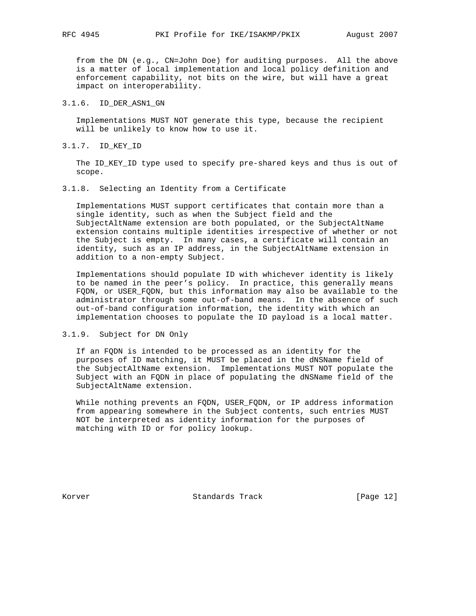from the DN (e.g., CN=John Doe) for auditing purposes. All the above is a matter of local implementation and local policy definition and enforcement capability, not bits on the wire, but will have a great impact on interoperability.

## 3.1.6. ID\_DER\_ASN1\_GN

 Implementations MUST NOT generate this type, because the recipient will be unlikely to know how to use it.

3.1.7. ID\_KEY\_ID

 The ID\_KEY\_ID type used to specify pre-shared keys and thus is out of scope.

## 3.1.8. Selecting an Identity from a Certificate

 Implementations MUST support certificates that contain more than a single identity, such as when the Subject field and the SubjectAltName extension are both populated, or the SubjectAltName extension contains multiple identities irrespective of whether or not the Subject is empty. In many cases, a certificate will contain an identity, such as an IP address, in the SubjectAltName extension in addition to a non-empty Subject.

 Implementations should populate ID with whichever identity is likely to be named in the peer's policy. In practice, this generally means FQDN, or USER\_FQDN, but this information may also be available to the administrator through some out-of-band means. In the absence of such out-of-band configuration information, the identity with which an implementation chooses to populate the ID payload is a local matter.

## 3.1.9. Subject for DN Only

 If an FQDN is intended to be processed as an identity for the purposes of ID matching, it MUST be placed in the dNSName field of the SubjectAltName extension. Implementations MUST NOT populate the Subject with an FQDN in place of populating the dNSName field of the SubjectAltName extension.

 While nothing prevents an FQDN, USER\_FQDN, or IP address information from appearing somewhere in the Subject contents, such entries MUST NOT be interpreted as identity information for the purposes of matching with ID or for policy lookup.

Korver Standards Track [Page 12]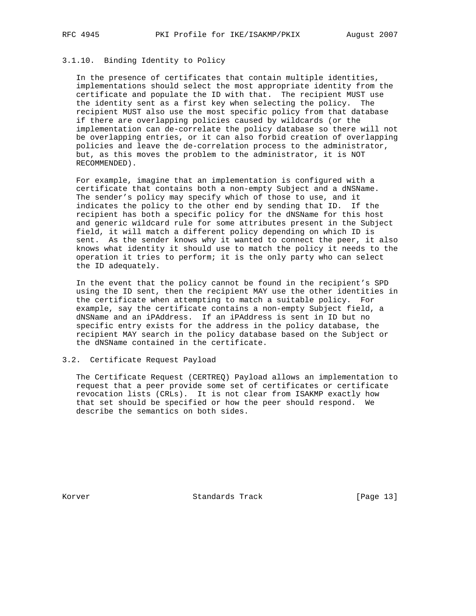# 3.1.10. Binding Identity to Policy

 In the presence of certificates that contain multiple identities, implementations should select the most appropriate identity from the certificate and populate the ID with that. The recipient MUST use the identity sent as a first key when selecting the policy. The recipient MUST also use the most specific policy from that database if there are overlapping policies caused by wildcards (or the implementation can de-correlate the policy database so there will not be overlapping entries, or it can also forbid creation of overlapping policies and leave the de-correlation process to the administrator, but, as this moves the problem to the administrator, it is NOT RECOMMENDED).

 For example, imagine that an implementation is configured with a certificate that contains both a non-empty Subject and a dNSName. The sender's policy may specify which of those to use, and it indicates the policy to the other end by sending that ID. If the recipient has both a specific policy for the dNSName for this host and generic wildcard rule for some attributes present in the Subject field, it will match a different policy depending on which ID is sent. As the sender knows why it wanted to connect the peer, it also knows what identity it should use to match the policy it needs to the operation it tries to perform; it is the only party who can select the ID adequately.

 In the event that the policy cannot be found in the recipient's SPD using the ID sent, then the recipient MAY use the other identities in the certificate when attempting to match a suitable policy. For example, say the certificate contains a non-empty Subject field, a dNSName and an iPAddress. If an iPAddress is sent in ID but no specific entry exists for the address in the policy database, the recipient MAY search in the policy database based on the Subject or the dNSName contained in the certificate.

#### 3.2. Certificate Request Payload

 The Certificate Request (CERTREQ) Payload allows an implementation to request that a peer provide some set of certificates or certificate revocation lists (CRLs). It is not clear from ISAKMP exactly how that set should be specified or how the peer should respond. We describe the semantics on both sides.

Korver Standards Track [Page 13]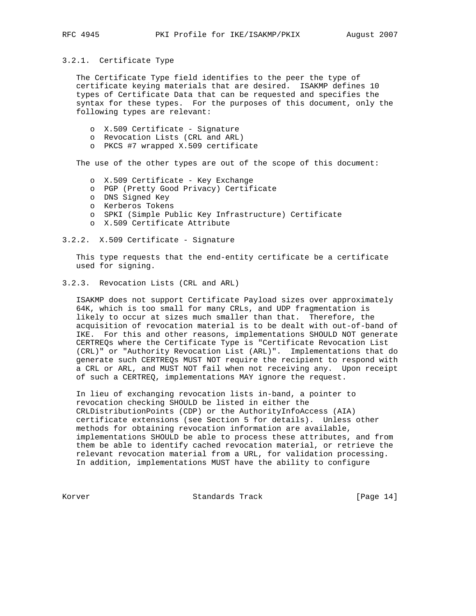#### 3.2.1. Certificate Type

 The Certificate Type field identifies to the peer the type of certificate keying materials that are desired. ISAKMP defines 10 types of Certificate Data that can be requested and specifies the syntax for these types. For the purposes of this document, only the following types are relevant:

- o X.509 Certificate Signature
- o Revocation Lists (CRL and ARL)
- o PKCS #7 wrapped X.509 certificate

The use of the other types are out of the scope of this document:

- o X.509 Certificate Key Exchange
- o PGP (Pretty Good Privacy) Certificate
- o DNS Signed Key
- o Kerberos Tokens
- o SPKI (Simple Public Key Infrastructure) Certificate
- o X.509 Certificate Attribute

## 3.2.2. X.509 Certificate - Signature

 This type requests that the end-entity certificate be a certificate used for signing.

3.2.3. Revocation Lists (CRL and ARL)

 ISAKMP does not support Certificate Payload sizes over approximately 64K, which is too small for many CRLs, and UDP fragmentation is likely to occur at sizes much smaller than that. Therefore, the acquisition of revocation material is to be dealt with out-of-band of IKE. For this and other reasons, implementations SHOULD NOT generate CERTREQs where the Certificate Type is "Certificate Revocation List (CRL)" or "Authority Revocation List (ARL)". Implementations that do generate such CERTREQs MUST NOT require the recipient to respond with a CRL or ARL, and MUST NOT fail when not receiving any. Upon receipt of such a CERTREQ, implementations MAY ignore the request.

 In lieu of exchanging revocation lists in-band, a pointer to revocation checking SHOULD be listed in either the CRLDistributionPoints (CDP) or the AuthorityInfoAccess (AIA) certificate extensions (see Section 5 for details). Unless other methods for obtaining revocation information are available, implementations SHOULD be able to process these attributes, and from them be able to identify cached revocation material, or retrieve the relevant revocation material from a URL, for validation processing. In addition, implementations MUST have the ability to configure

Korver Standards Track [Page 14]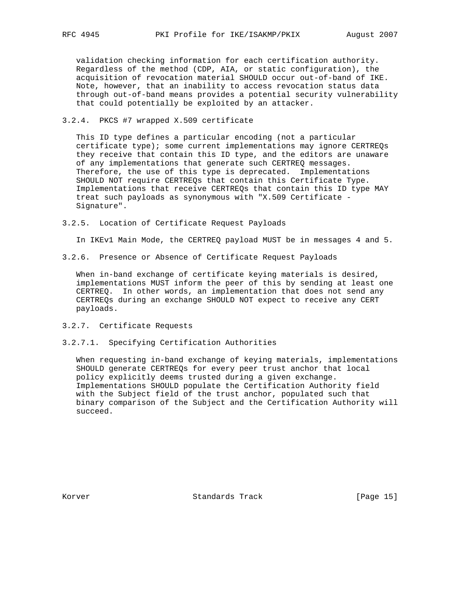validation checking information for each certification authority. Regardless of the method (CDP, AIA, or static configuration), the acquisition of revocation material SHOULD occur out-of-band of IKE. Note, however, that an inability to access revocation status data through out-of-band means provides a potential security vulnerability that could potentially be exploited by an attacker.

3.2.4. PKCS #7 wrapped X.509 certificate

 This ID type defines a particular encoding (not a particular certificate type); some current implementations may ignore CERTREQs they receive that contain this ID type, and the editors are unaware of any implementations that generate such CERTREQ messages. Therefore, the use of this type is deprecated. Implementations SHOULD NOT require CERTREQs that contain this Certificate Type. Implementations that receive CERTREQs that contain this ID type MAY treat such payloads as synonymous with "X.509 Certificate - Signature".

3.2.5. Location of Certificate Request Payloads

In IKEv1 Main Mode, the CERTREQ payload MUST be in messages 4 and 5.

3.2.6. Presence or Absence of Certificate Request Payloads

 When in-band exchange of certificate keying materials is desired, implementations MUST inform the peer of this by sending at least one CERTREQ. In other words, an implementation that does not send any CERTREQs during an exchange SHOULD NOT expect to receive any CERT payloads.

- 3.2.7. Certificate Requests
- 3.2.7.1. Specifying Certification Authorities

 When requesting in-band exchange of keying materials, implementations SHOULD generate CERTREQs for every peer trust anchor that local policy explicitly deems trusted during a given exchange. Implementations SHOULD populate the Certification Authority field with the Subject field of the trust anchor, populated such that binary comparison of the Subject and the Certification Authority will succeed.

Korver Standards Track [Page 15]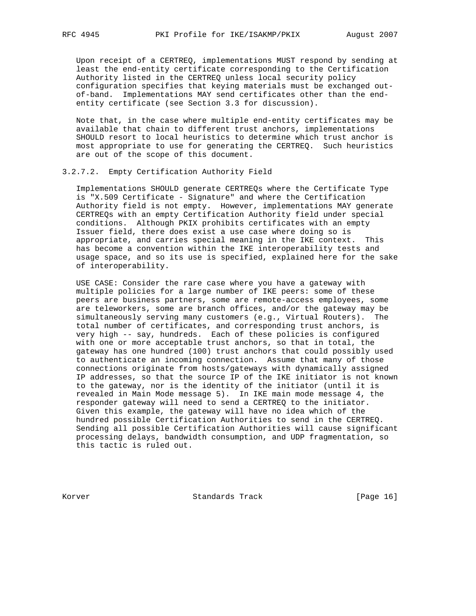Upon receipt of a CERTREQ, implementations MUST respond by sending at least the end-entity certificate corresponding to the Certification Authority listed in the CERTREQ unless local security policy configuration specifies that keying materials must be exchanged out of-band. Implementations MAY send certificates other than the end entity certificate (see Section 3.3 for discussion).

 Note that, in the case where multiple end-entity certificates may be available that chain to different trust anchors, implementations SHOULD resort to local heuristics to determine which trust anchor is most appropriate to use for generating the CERTREQ. Such heuristics are out of the scope of this document.

#### 3.2.7.2. Empty Certification Authority Field

 Implementations SHOULD generate CERTREQs where the Certificate Type is "X.509 Certificate - Signature" and where the Certification Authority field is not empty. However, implementations MAY generate CERTREQs with an empty Certification Authority field under special conditions. Although PKIX prohibits certificates with an empty Issuer field, there does exist a use case where doing so is appropriate, and carries special meaning in the IKE context. This has become a convention within the IKE interoperability tests and usage space, and so its use is specified, explained here for the sake of interoperability.

 USE CASE: Consider the rare case where you have a gateway with multiple policies for a large number of IKE peers: some of these peers are business partners, some are remote-access employees, some are teleworkers, some are branch offices, and/or the gateway may be simultaneously serving many customers (e.g., Virtual Routers). The total number of certificates, and corresponding trust anchors, is very high -- say, hundreds. Each of these policies is configured with one or more acceptable trust anchors, so that in total, the gateway has one hundred (100) trust anchors that could possibly used to authenticate an incoming connection. Assume that many of those connections originate from hosts/gateways with dynamically assigned IP addresses, so that the source IP of the IKE initiator is not known to the gateway, nor is the identity of the initiator (until it is revealed in Main Mode message 5). In IKE main mode message 4, the responder gateway will need to send a CERTREQ to the initiator. Given this example, the gateway will have no idea which of the hundred possible Certification Authorities to send in the CERTREQ. Sending all possible Certification Authorities will cause significant processing delays, bandwidth consumption, and UDP fragmentation, so this tactic is ruled out.

Korver Standards Track [Page 16]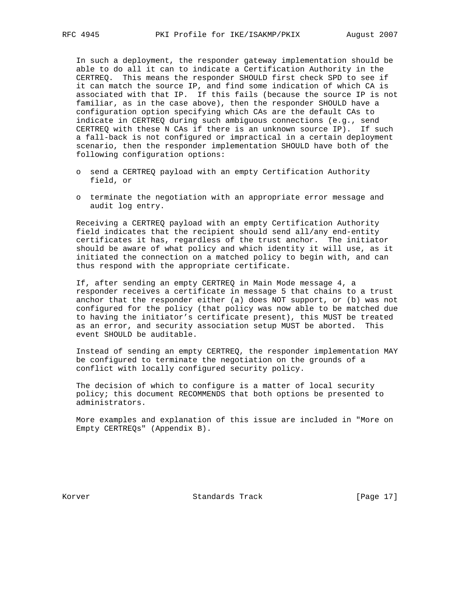In such a deployment, the responder gateway implementation should be able to do all it can to indicate a Certification Authority in the CERTREQ. This means the responder SHOULD first check SPD to see if it can match the source IP, and find some indication of which CA is associated with that IP. If this fails (because the source IP is not familiar, as in the case above), then the responder SHOULD have a configuration option specifying which CAs are the default CAs to indicate in CERTREQ during such ambiguous connections (e.g., send CERTREQ with these N CAs if there is an unknown source IP). If such a fall-back is not configured or impractical in a certain deployment scenario, then the responder implementation SHOULD have both of the following configuration options:

- o send a CERTREQ payload with an empty Certification Authority field, or
- o terminate the negotiation with an appropriate error message and audit log entry.

 Receiving a CERTREQ payload with an empty Certification Authority field indicates that the recipient should send all/any end-entity certificates it has, regardless of the trust anchor. The initiator should be aware of what policy and which identity it will use, as it initiated the connection on a matched policy to begin with, and can thus respond with the appropriate certificate.

 If, after sending an empty CERTREQ in Main Mode message 4, a responder receives a certificate in message 5 that chains to a trust anchor that the responder either (a) does NOT support, or (b) was not configured for the policy (that policy was now able to be matched due to having the initiator's certificate present), this MUST be treated as an error, and security association setup MUST be aborted. This event SHOULD be auditable.

 Instead of sending an empty CERTREQ, the responder implementation MAY be configured to terminate the negotiation on the grounds of a conflict with locally configured security policy.

 The decision of which to configure is a matter of local security policy; this document RECOMMENDS that both options be presented to administrators.

 More examples and explanation of this issue are included in "More on Empty CERTREQs" (Appendix B).

Korver Standards Track [Page 17]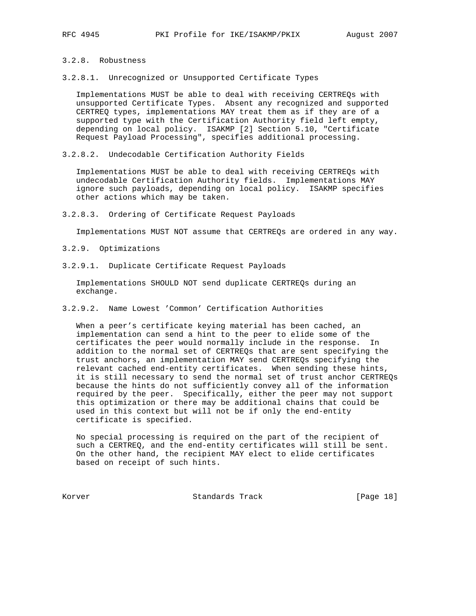# 3.2.8. Robustness

3.2.8.1. Unrecognized or Unsupported Certificate Types

 Implementations MUST be able to deal with receiving CERTREQs with unsupported Certificate Types. Absent any recognized and supported CERTREQ types, implementations MAY treat them as if they are of a supported type with the Certification Authority field left empty, depending on local policy. ISAKMP [2] Section 5.10, "Certificate Request Payload Processing", specifies additional processing.

3.2.8.2. Undecodable Certification Authority Fields

 Implementations MUST be able to deal with receiving CERTREQs with undecodable Certification Authority fields. Implementations MAY ignore such payloads, depending on local policy. ISAKMP specifies other actions which may be taken.

3.2.8.3. Ordering of Certificate Request Payloads

Implementations MUST NOT assume that CERTREQs are ordered in any way.

- 3.2.9. Optimizations
- 3.2.9.1. Duplicate Certificate Request Payloads

 Implementations SHOULD NOT send duplicate CERTREQs during an exchange.

3.2.9.2. Name Lowest 'Common' Certification Authorities

 When a peer's certificate keying material has been cached, an implementation can send a hint to the peer to elide some of the certificates the peer would normally include in the response. In addition to the normal set of CERTREQs that are sent specifying the trust anchors, an implementation MAY send CERTREQs specifying the relevant cached end-entity certificates. When sending these hints, it is still necessary to send the normal set of trust anchor CERTREQs because the hints do not sufficiently convey all of the information required by the peer. Specifically, either the peer may not support this optimization or there may be additional chains that could be used in this context but will not be if only the end-entity certificate is specified.

 No special processing is required on the part of the recipient of such a CERTREQ, and the end-entity certificates will still be sent. On the other hand, the recipient MAY elect to elide certificates based on receipt of such hints.

Korver Standards Track [Page 18]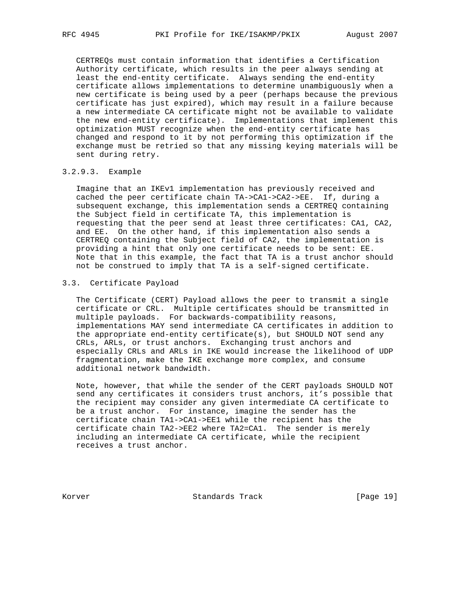CERTREQs must contain information that identifies a Certification Authority certificate, which results in the peer always sending at least the end-entity certificate. Always sending the end-entity certificate allows implementations to determine unambiguously when a new certificate is being used by a peer (perhaps because the previous certificate has just expired), which may result in a failure because a new intermediate CA certificate might not be available to validate the new end-entity certificate). Implementations that implement this optimization MUST recognize when the end-entity certificate has changed and respond to it by not performing this optimization if the exchange must be retried so that any missing keying materials will be sent during retry.

## 3.2.9.3. Example

 Imagine that an IKEv1 implementation has previously received and cached the peer certificate chain TA->CA1->CA2->EE. If, during a subsequent exchange, this implementation sends a CERTREQ containing the Subject field in certificate TA, this implementation is requesting that the peer send at least three certificates: CA1, CA2, and EE. On the other hand, if this implementation also sends a CERTREQ containing the Subject field of CA2, the implementation is providing a hint that only one certificate needs to be sent: EE. Note that in this example, the fact that TA is a trust anchor should not be construed to imply that TA is a self-signed certificate.

## 3.3. Certificate Payload

 The Certificate (CERT) Payload allows the peer to transmit a single certificate or CRL. Multiple certificates should be transmitted in multiple payloads. For backwards-compatibility reasons, implementations MAY send intermediate CA certificates in addition to the appropriate end-entity certificate(s), but SHOULD NOT send any CRLs, ARLs, or trust anchors. Exchanging trust anchors and especially CRLs and ARLs in IKE would increase the likelihood of UDP fragmentation, make the IKE exchange more complex, and consume additional network bandwidth.

 Note, however, that while the sender of the CERT payloads SHOULD NOT send any certificates it considers trust anchors, it's possible that the recipient may consider any given intermediate CA certificate to be a trust anchor. For instance, imagine the sender has the certificate chain TA1->CA1->EE1 while the recipient has the certificate chain TA2->EE2 where TA2=CA1. The sender is merely including an intermediate CA certificate, while the recipient receives a trust anchor.

Korver Standards Track [Page 19]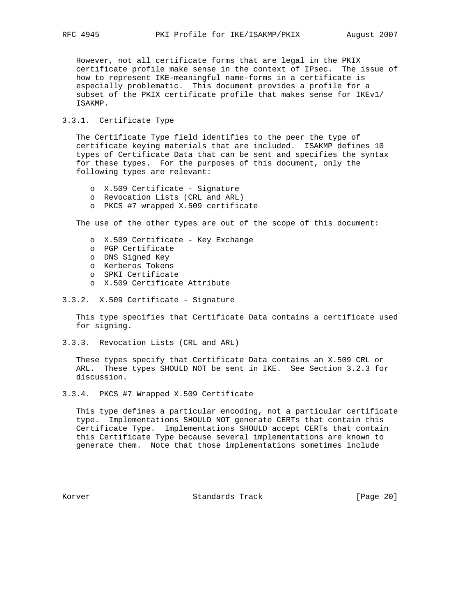However, not all certificate forms that are legal in the PKIX certificate profile make sense in the context of IPsec. The issue of how to represent IKE-meaningful name-forms in a certificate is especially problematic. This document provides a profile for a subset of the PKIX certificate profile that makes sense for IKEv1/ ISAKMP.

## 3.3.1. Certificate Type

 The Certificate Type field identifies to the peer the type of certificate keying materials that are included. ISAKMP defines 10 types of Certificate Data that can be sent and specifies the syntax for these types. For the purposes of this document, only the following types are relevant:

- o X.509 Certificate Signature
- o Revocation Lists (CRL and ARL)
- o PKCS #7 wrapped X.509 certificate

The use of the other types are out of the scope of this document:

- o X.509 Certificate Key Exchange
- o PGP Certificate
- o DNS Signed Key
- o Kerberos Tokens
- o SPKI Certificate
- o X.509 Certificate Attribute
- 3.3.2. X.509 Certificate Signature

 This type specifies that Certificate Data contains a certificate used for signing.

3.3.3. Revocation Lists (CRL and ARL)

 These types specify that Certificate Data contains an X.509 CRL or ARL. These types SHOULD NOT be sent in IKE. See Section 3.2.3 for discussion.

3.3.4. PKCS #7 Wrapped X.509 Certificate

 This type defines a particular encoding, not a particular certificate type. Implementations SHOULD NOT generate CERTs that contain this Certificate Type. Implementations SHOULD accept CERTs that contain this Certificate Type because several implementations are known to generate them. Note that those implementations sometimes include

Korver Standards Track [Page 20]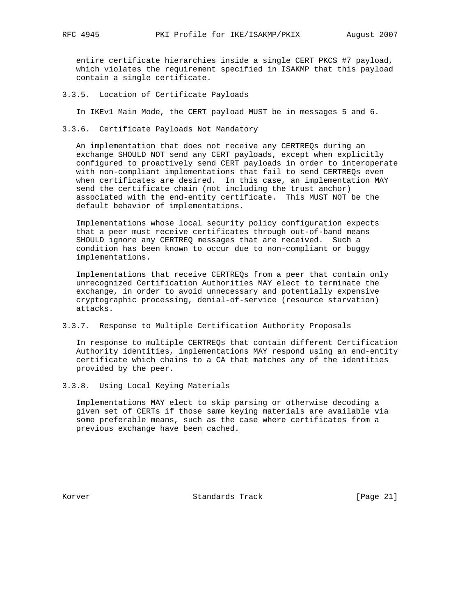entire certificate hierarchies inside a single CERT PKCS #7 payload, which violates the requirement specified in ISAKMP that this payload contain a single certificate.

3.3.5. Location of Certificate Payloads

In IKEv1 Main Mode, the CERT payload MUST be in messages 5 and 6.

3.3.6. Certificate Payloads Not Mandatory

 An implementation that does not receive any CERTREQs during an exchange SHOULD NOT send any CERT payloads, except when explicitly configured to proactively send CERT payloads in order to interoperate with non-compliant implementations that fail to send CERTREQs even when certificates are desired. In this case, an implementation MAY send the certificate chain (not including the trust anchor) associated with the end-entity certificate. This MUST NOT be the default behavior of implementations.

 Implementations whose local security policy configuration expects that a peer must receive certificates through out-of-band means SHOULD ignore any CERTREQ messages that are received. Such a condition has been known to occur due to non-compliant or buggy implementations.

 Implementations that receive CERTREQs from a peer that contain only unrecognized Certification Authorities MAY elect to terminate the exchange, in order to avoid unnecessary and potentially expensive cryptographic processing, denial-of-service (resource starvation) attacks.

3.3.7. Response to Multiple Certification Authority Proposals

 In response to multiple CERTREQs that contain different Certification Authority identities, implementations MAY respond using an end-entity certificate which chains to a CA that matches any of the identities provided by the peer.

3.3.8. Using Local Keying Materials

 Implementations MAY elect to skip parsing or otherwise decoding a given set of CERTs if those same keying materials are available via some preferable means, such as the case where certificates from a previous exchange have been cached.

Korver Standards Track [Page 21]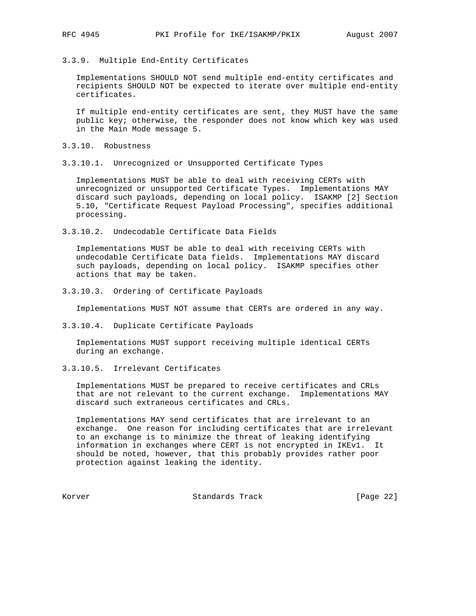3.3.9. Multiple End-Entity Certificates

 Implementations SHOULD NOT send multiple end-entity certificates and recipients SHOULD NOT be expected to iterate over multiple end-entity certificates.

 If multiple end-entity certificates are sent, they MUST have the same public key; otherwise, the responder does not know which key was used in the Main Mode message 5.

- 3.3.10. Robustness
- 3.3.10.1. Unrecognized or Unsupported Certificate Types

 Implementations MUST be able to deal with receiving CERTs with unrecognized or unsupported Certificate Types. Implementations MAY discard such payloads, depending on local policy. ISAKMP [2] Section 5.10, "Certificate Request Payload Processing", specifies additional processing.

3.3.10.2. Undecodable Certificate Data Fields

 Implementations MUST be able to deal with receiving CERTs with undecodable Certificate Data fields. Implementations MAY discard such payloads, depending on local policy. ISAKMP specifies other actions that may be taken.

3.3.10.3. Ordering of Certificate Payloads

Implementations MUST NOT assume that CERTs are ordered in any way.

3.3.10.4. Duplicate Certificate Payloads

 Implementations MUST support receiving multiple identical CERTs during an exchange.

3.3.10.5. Irrelevant Certificates

 Implementations MUST be prepared to receive certificates and CRLs that are not relevant to the current exchange. Implementations MAY discard such extraneous certificates and CRLs.

 Implementations MAY send certificates that are irrelevant to an exchange. One reason for including certificates that are irrelevant to an exchange is to minimize the threat of leaking identifying information in exchanges where CERT is not encrypted in IKEv1. It should be noted, however, that this probably provides rather poor protection against leaking the identity.

Korver Standards Track [Page 22]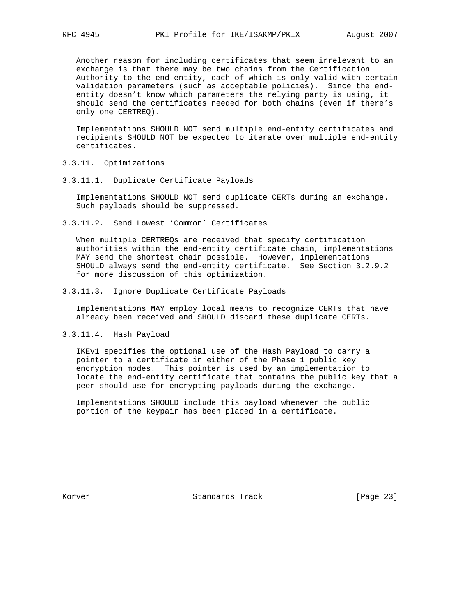Another reason for including certificates that seem irrelevant to an exchange is that there may be two chains from the Certification Authority to the end entity, each of which is only valid with certain validation parameters (such as acceptable policies). Since the end entity doesn't know which parameters the relying party is using, it should send the certificates needed for both chains (even if there's only one CERTREQ).

 Implementations SHOULD NOT send multiple end-entity certificates and recipients SHOULD NOT be expected to iterate over multiple end-entity certificates.

- 3.3.11. Optimizations
- 3.3.11.1. Duplicate Certificate Payloads

 Implementations SHOULD NOT send duplicate CERTs during an exchange. Such payloads should be suppressed.

3.3.11.2. Send Lowest 'Common' Certificates

 When multiple CERTREQs are received that specify certification authorities within the end-entity certificate chain, implementations MAY send the shortest chain possible. However, implementations SHOULD always send the end-entity certificate. See Section 3.2.9.2 for more discussion of this optimization.

3.3.11.3. Ignore Duplicate Certificate Payloads

 Implementations MAY employ local means to recognize CERTs that have already been received and SHOULD discard these duplicate CERTs.

3.3.11.4. Hash Payload

 IKEv1 specifies the optional use of the Hash Payload to carry a pointer to a certificate in either of the Phase 1 public key encryption modes. This pointer is used by an implementation to locate the end-entity certificate that contains the public key that a peer should use for encrypting payloads during the exchange.

 Implementations SHOULD include this payload whenever the public portion of the keypair has been placed in a certificate.

Korver Standards Track [Page 23]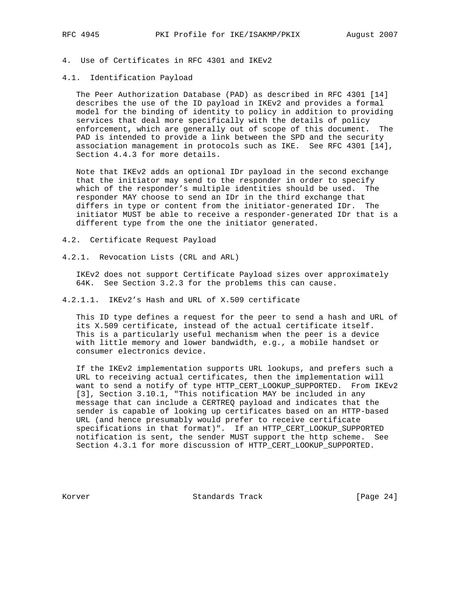#### 4.1. Identification Payload

 The Peer Authorization Database (PAD) as described in RFC 4301 [14] describes the use of the ID payload in IKEv2 and provides a formal model for the binding of identity to policy in addition to providing services that deal more specifically with the details of policy enforcement, which are generally out of scope of this document. The PAD is intended to provide a link between the SPD and the security association management in protocols such as IKE. See RFC 4301 [14], Section 4.4.3 for more details.

 Note that IKEv2 adds an optional IDr payload in the second exchange that the initiator may send to the responder in order to specify which of the responder's multiple identities should be used. The responder MAY choose to send an IDr in the third exchange that differs in type or content from the initiator-generated IDr. The initiator MUST be able to receive a responder-generated IDr that is a different type from the one the initiator generated.

4.2. Certificate Request Payload

4.2.1. Revocation Lists (CRL and ARL)

 IKEv2 does not support Certificate Payload sizes over approximately 64K. See Section 3.2.3 for the problems this can cause.

4.2.1.1. IKEv2's Hash and URL of X.509 certificate

 This ID type defines a request for the peer to send a hash and URL of its X.509 certificate, instead of the actual certificate itself. This is a particularly useful mechanism when the peer is a device with little memory and lower bandwidth, e.g., a mobile handset or consumer electronics device.

 If the IKEv2 implementation supports URL lookups, and prefers such a URL to receiving actual certificates, then the implementation will want to send a notify of type HTTP\_CERT\_LOOKUP\_SUPPORTED. From IKEv2 [3], Section 3.10.1, "This notification MAY be included in any message that can include a CERTREQ payload and indicates that the sender is capable of looking up certificates based on an HTTP-based URL (and hence presumably would prefer to receive certificate specifications in that format)". If an HTTP\_CERT\_LOOKUP\_SUPPORTED notification is sent, the sender MUST support the http scheme. See Section 4.3.1 for more discussion of HTTP\_CERT\_LOOKUP\_SUPPORTED.

Korver Standards Track [Page 24]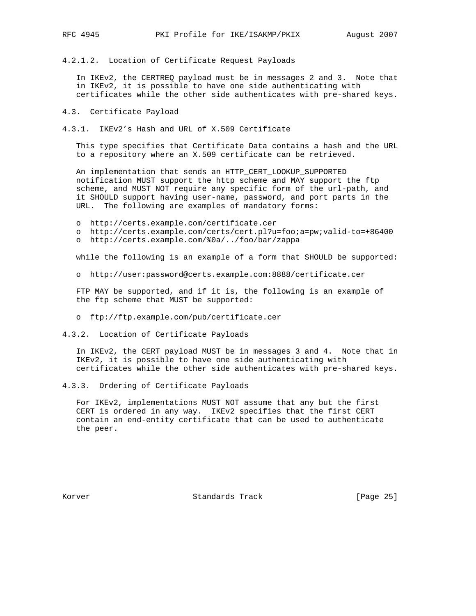4.2.1.2. Location of Certificate Request Payloads

 In IKEv2, the CERTREQ payload must be in messages 2 and 3. Note that in IKEv2, it is possible to have one side authenticating with certificates while the other side authenticates with pre-shared keys.

- 4.3. Certificate Payload
- 4.3.1. IKEv2's Hash and URL of X.509 Certificate

 This type specifies that Certificate Data contains a hash and the URL to a repository where an X.509 certificate can be retrieved.

 An implementation that sends an HTTP\_CERT\_LOOKUP\_SUPPORTED notification MUST support the http scheme and MAY support the ftp scheme, and MUST NOT require any specific form of the url-path, and it SHOULD support having user-name, password, and port parts in the URL. The following are examples of mandatory forms:

- o http://certs.example.com/certificate.cer
- o http://certs.example.com/certs/cert.pl?u=foo;a=pw;valid-to=+86400
- o http://certs.example.com/%0a/../foo/bar/zappa

while the following is an example of a form that SHOULD be supported:

o http://user:password@certs.example.com:8888/certificate.cer

 FTP MAY be supported, and if it is, the following is an example of the ftp scheme that MUST be supported:

- o ftp://ftp.example.com/pub/certificate.cer
- 4.3.2. Location of Certificate Payloads

 In IKEv2, the CERT payload MUST be in messages 3 and 4. Note that in IKEv2, it is possible to have one side authenticating with certificates while the other side authenticates with pre-shared keys.

4.3.3. Ordering of Certificate Payloads

 For IKEv2, implementations MUST NOT assume that any but the first CERT is ordered in any way. IKEv2 specifies that the first CERT contain an end-entity certificate that can be used to authenticate the peer.

Korver **Standards Track** [Page 25]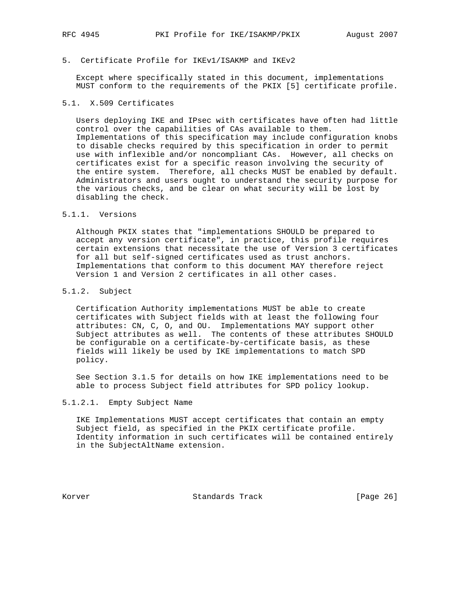## 5. Certificate Profile for IKEv1/ISAKMP and IKEv2

 Except where specifically stated in this document, implementations MUST conform to the requirements of the PKIX [5] certificate profile.

# 5.1. X.509 Certificates

 Users deploying IKE and IPsec with certificates have often had little control over the capabilities of CAs available to them. Implementations of this specification may include configuration knobs to disable checks required by this specification in order to permit use with inflexible and/or noncompliant CAs. However, all checks on certificates exist for a specific reason involving the security of the entire system. Therefore, all checks MUST be enabled by default. Administrators and users ought to understand the security purpose for the various checks, and be clear on what security will be lost by disabling the check.

# 5.1.1. Versions

 Although PKIX states that "implementations SHOULD be prepared to accept any version certificate", in practice, this profile requires certain extensions that necessitate the use of Version 3 certificates for all but self-signed certificates used as trust anchors. Implementations that conform to this document MAY therefore reject Version 1 and Version 2 certificates in all other cases.

## 5.1.2. Subject

 Certification Authority implementations MUST be able to create certificates with Subject fields with at least the following four attributes: CN, C, O, and OU. Implementations MAY support other Subject attributes as well. The contents of these attributes SHOULD be configurable on a certificate-by-certificate basis, as these fields will likely be used by IKE implementations to match SPD policy.

 See Section 3.1.5 for details on how IKE implementations need to be able to process Subject field attributes for SPD policy lookup.

## 5.1.2.1. Empty Subject Name

 IKE Implementations MUST accept certificates that contain an empty Subject field, as specified in the PKIX certificate profile. Identity information in such certificates will be contained entirely in the SubjectAltName extension.

Korver Standards Track [Page 26]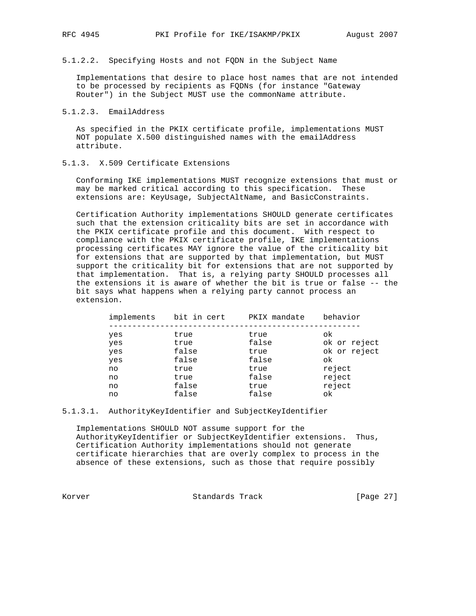5.1.2.2. Specifying Hosts and not FQDN in the Subject Name

 Implementations that desire to place host names that are not intended to be processed by recipients as FQDNs (for instance "Gateway Router") in the Subject MUST use the commonName attribute.

#### 5.1.2.3. EmailAddress

 As specified in the PKIX certificate profile, implementations MUST NOT populate X.500 distinguished names with the emailAddress attribute.

# 5.1.3. X.509 Certificate Extensions

 Conforming IKE implementations MUST recognize extensions that must or may be marked critical according to this specification. These extensions are: KeyUsage, SubjectAltName, and BasicConstraints.

 Certification Authority implementations SHOULD generate certificates such that the extension criticality bits are set in accordance with the PKIX certificate profile and this document. With respect to compliance with the PKIX certificate profile, IKE implementations processing certificates MAY ignore the value of the criticality bit for extensions that are supported by that implementation, but MUST support the criticality bit for extensions that are not supported by that implementation. That is, a relying party SHOULD processes all the extensions it is aware of whether the bit is true or false -- the bit says what happens when a relying party cannot process an extension.

| implements | bit in cert | PKIX mandate | behavior     |
|------------|-------------|--------------|--------------|
| yes        | true        | true         | ok           |
| yes        | true        | false        | ok or reject |
| yes        | false       | true         | ok or reject |
| yes        | false       | false        | ok           |
| no         | true        | true         | reject       |
| no         | true        | false        | reject       |
| no         | false       | true         | reject       |
| no         | false       | false        | ok           |
|            |             |              |              |

#### 5.1.3.1. AuthorityKeyIdentifier and SubjectKeyIdentifier

 Implementations SHOULD NOT assume support for the AuthorityKeyIdentifier or SubjectKeyIdentifier extensions. Thus, Certification Authority implementations should not generate certificate hierarchies that are overly complex to process in the absence of these extensions, such as those that require possibly

Korver Standards Track [Page 27]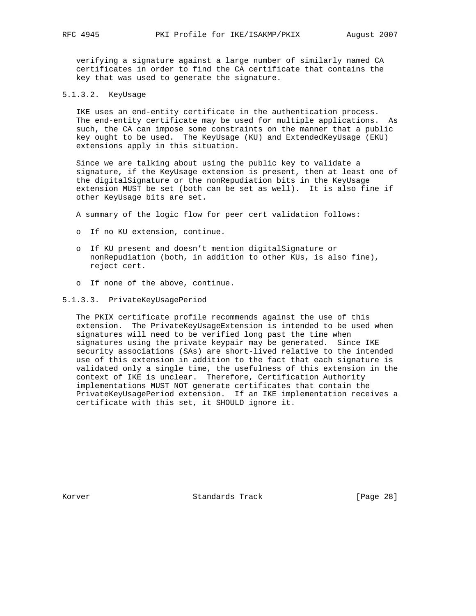verifying a signature against a large number of similarly named CA certificates in order to find the CA certificate that contains the key that was used to generate the signature.

## 5.1.3.2. KeyUsage

 IKE uses an end-entity certificate in the authentication process. The end-entity certificate may be used for multiple applications. As such, the CA can impose some constraints on the manner that a public key ought to be used. The KeyUsage (KU) and ExtendedKeyUsage (EKU) extensions apply in this situation.

 Since we are talking about using the public key to validate a signature, if the KeyUsage extension is present, then at least one of the digitalSignature or the nonRepudiation bits in the KeyUsage extension MUST be set (both can be set as well). It is also fine if other KeyUsage bits are set.

A summary of the logic flow for peer cert validation follows:

- o If no KU extension, continue.
- o If KU present and doesn't mention digitalSignature or nonRepudiation (both, in addition to other KUs, is also fine), reject cert.
- o If none of the above, continue.

#### 5.1.3.3. PrivateKeyUsagePeriod

 The PKIX certificate profile recommends against the use of this extension. The PrivateKeyUsageExtension is intended to be used when signatures will need to be verified long past the time when signatures using the private keypair may be generated. Since IKE security associations (SAs) are short-lived relative to the intended use of this extension in addition to the fact that each signature is validated only a single time, the usefulness of this extension in the context of IKE is unclear. Therefore, Certification Authority implementations MUST NOT generate certificates that contain the PrivateKeyUsagePeriod extension. If an IKE implementation receives a certificate with this set, it SHOULD ignore it.

Korver **Standards Track** [Page 28]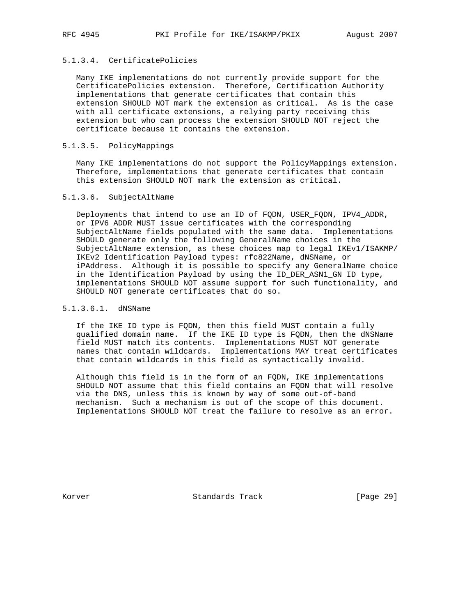# 5.1.3.4. CertificatePolicies

 Many IKE implementations do not currently provide support for the CertificatePolicies extension. Therefore, Certification Authority implementations that generate certificates that contain this extension SHOULD NOT mark the extension as critical. As is the case with all certificate extensions, a relying party receiving this extension but who can process the extension SHOULD NOT reject the certificate because it contains the extension.

## 5.1.3.5. PolicyMappings

 Many IKE implementations do not support the PolicyMappings extension. Therefore, implementations that generate certificates that contain this extension SHOULD NOT mark the extension as critical.

## 5.1.3.6. SubjectAltName

 Deployments that intend to use an ID of FQDN, USER\_FQDN, IPV4\_ADDR, or IPV6\_ADDR MUST issue certificates with the corresponding SubjectAltName fields populated with the same data. Implementations SHOULD generate only the following GeneralName choices in the SubjectAltName extension, as these choices map to legal IKEv1/ISAKMP/ IKEv2 Identification Payload types: rfc822Name, dNSName, or iPAddress. Although it is possible to specify any GeneralName choice in the Identification Payload by using the ID\_DER\_ASN1\_GN ID type, implementations SHOULD NOT assume support for such functionality, and SHOULD NOT generate certificates that do so.

# 5.1.3.6.1. dNSName

 If the IKE ID type is FQDN, then this field MUST contain a fully qualified domain name. If the IKE ID type is FQDN, then the dNSName field MUST match its contents. Implementations MUST NOT generate names that contain wildcards. Implementations MAY treat certificates that contain wildcards in this field as syntactically invalid.

 Although this field is in the form of an FQDN, IKE implementations SHOULD NOT assume that this field contains an FQDN that will resolve via the DNS, unless this is known by way of some out-of-band mechanism. Such a mechanism is out of the scope of this document. Implementations SHOULD NOT treat the failure to resolve as an error.

Korver Standards Track [Page 29]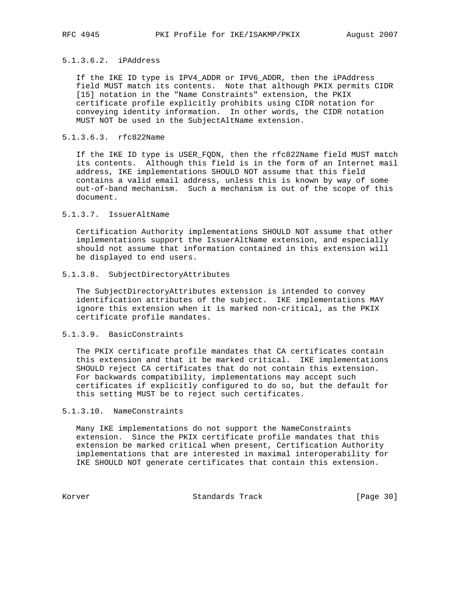## 5.1.3.6.2. iPAddress

 If the IKE ID type is IPV4\_ADDR or IPV6\_ADDR, then the iPAddress field MUST match its contents. Note that although PKIX permits CIDR [15] notation in the "Name Constraints" extension, the PKIX certificate profile explicitly prohibits using CIDR notation for conveying identity information. In other words, the CIDR notation MUST NOT be used in the SubjectAltName extension.

## 5.1.3.6.3. rfc822Name

 If the IKE ID type is USER\_FQDN, then the rfc822Name field MUST match its contents. Although this field is in the form of an Internet mail address, IKE implementations SHOULD NOT assume that this field contains a valid email address, unless this is known by way of some out-of-band mechanism. Such a mechanism is out of the scope of this document.

## 5.1.3.7. IssuerAltName

 Certification Authority implementations SHOULD NOT assume that other implementations support the IssuerAltName extension, and especially should not assume that information contained in this extension will be displayed to end users.

## 5.1.3.8. SubjectDirectoryAttributes

 The SubjectDirectoryAttributes extension is intended to convey identification attributes of the subject. IKE implementations MAY ignore this extension when it is marked non-critical, as the PKIX certificate profile mandates.

## 5.1.3.9. BasicConstraints

 The PKIX certificate profile mandates that CA certificates contain this extension and that it be marked critical. IKE implementations SHOULD reject CA certificates that do not contain this extension. For backwards compatibility, implementations may accept such certificates if explicitly configured to do so, but the default for this setting MUST be to reject such certificates.

## 5.1.3.10. NameConstraints

 Many IKE implementations do not support the NameConstraints extension. Since the PKIX certificate profile mandates that this extension be marked critical when present, Certification Authority implementations that are interested in maximal interoperability for IKE SHOULD NOT generate certificates that contain this extension.

Korver Standards Track [Page 30]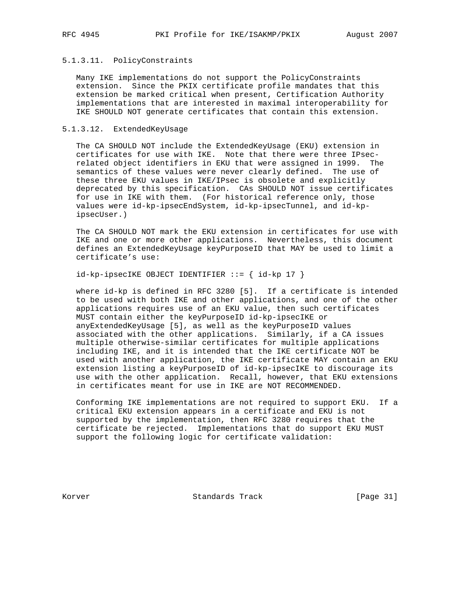## 5.1.3.11. PolicyConstraints

 Many IKE implementations do not support the PolicyConstraints extension. Since the PKIX certificate profile mandates that this extension be marked critical when present, Certification Authority implementations that are interested in maximal interoperability for IKE SHOULD NOT generate certificates that contain this extension.

## 5.1.3.12. ExtendedKeyUsage

 The CA SHOULD NOT include the ExtendedKeyUsage (EKU) extension in certificates for use with IKE. Note that there were three IPsec related object identifiers in EKU that were assigned in 1999. The semantics of these values were never clearly defined. The use of these three EKU values in IKE/IPsec is obsolete and explicitly deprecated by this specification. CAs SHOULD NOT issue certificates for use in IKE with them. (For historical reference only, those values were id-kp-ipsecEndSystem, id-kp-ipsecTunnel, and id-kp ipsecUser.)

 The CA SHOULD NOT mark the EKU extension in certificates for use with IKE and one or more other applications. Nevertheless, this document defines an ExtendedKeyUsage keyPurposeID that MAY be used to limit a certificate's use:

 $id$ -kp-ipsecIKE OBJECT IDENTIFIER ::= {  $id$ -kp 17 }

 where id-kp is defined in RFC 3280 [5]. If a certificate is intended to be used with both IKE and other applications, and one of the other applications requires use of an EKU value, then such certificates MUST contain either the keyPurposeID id-kp-ipsecIKE or anyExtendedKeyUsage [5], as well as the keyPurposeID values associated with the other applications. Similarly, if a CA issues multiple otherwise-similar certificates for multiple applications including IKE, and it is intended that the IKE certificate NOT be used with another application, the IKE certificate MAY contain an EKU extension listing a keyPurposeID of id-kp-ipsecIKE to discourage its use with the other application. Recall, however, that EKU extensions in certificates meant for use in IKE are NOT RECOMMENDED.

 Conforming IKE implementations are not required to support EKU. If a critical EKU extension appears in a certificate and EKU is not supported by the implementation, then RFC 3280 requires that the certificate be rejected. Implementations that do support EKU MUST support the following logic for certificate validation:

Korver Standards Track [Page 31]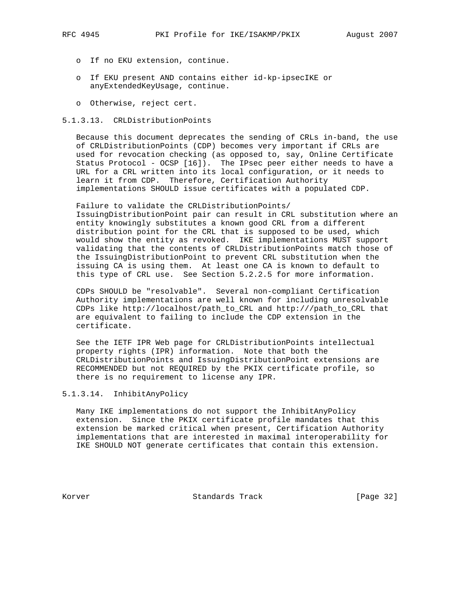- o If no EKU extension, continue.
- o If EKU present AND contains either id-kp-ipsecIKE or anyExtendedKeyUsage, continue.
- o Otherwise, reject cert.

#### 5.1.3.13. CRLDistributionPoints

 Because this document deprecates the sending of CRLs in-band, the use of CRLDistributionPoints (CDP) becomes very important if CRLs are used for revocation checking (as opposed to, say, Online Certificate Status Protocol - OCSP [16]). The IPsec peer either needs to have a URL for a CRL written into its local configuration, or it needs to learn it from CDP. Therefore, Certification Authority implementations SHOULD issue certificates with a populated CDP.

 Failure to validate the CRLDistributionPoints/ IssuingDistributionPoint pair can result in CRL substitution where an entity knowingly substitutes a known good CRL from a different distribution point for the CRL that is supposed to be used, which would show the entity as revoked. IKE implementations MUST support validating that the contents of CRLDistributionPoints match those of the IssuingDistributionPoint to prevent CRL substitution when the issuing CA is using them. At least one CA is known to default to this type of CRL use. See Section 5.2.2.5 for more information.

 CDPs SHOULD be "resolvable". Several non-compliant Certification Authority implementations are well known for including unresolvable CDPs like http://localhost/path\_to\_CRL and http:///path\_to\_CRL that are equivalent to failing to include the CDP extension in the certificate.

 See the IETF IPR Web page for CRLDistributionPoints intellectual property rights (IPR) information. Note that both the CRLDistributionPoints and IssuingDistributionPoint extensions are RECOMMENDED but not REQUIRED by the PKIX certificate profile, so there is no requirement to license any IPR.

## 5.1.3.14. InhibitAnyPolicy

 Many IKE implementations do not support the InhibitAnyPolicy extension. Since the PKIX certificate profile mandates that this extension be marked critical when present, Certification Authority implementations that are interested in maximal interoperability for IKE SHOULD NOT generate certificates that contain this extension.

Korver Standards Track [Page 32]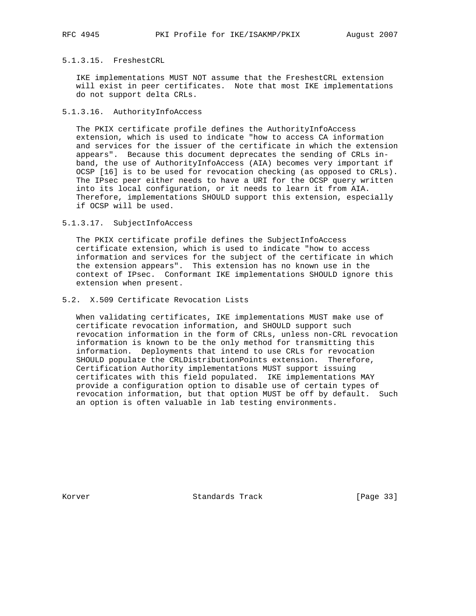## 5.1.3.15. FreshestCRL

 IKE implementations MUST NOT assume that the FreshestCRL extension will exist in peer certificates. Note that most IKE implementations do not support delta CRLs.

## 5.1.3.16. AuthorityInfoAccess

 The PKIX certificate profile defines the AuthorityInfoAccess extension, which is used to indicate "how to access CA information and services for the issuer of the certificate in which the extension appears". Because this document deprecates the sending of CRLs in band, the use of AuthorityInfoAccess (AIA) becomes very important if OCSP [16] is to be used for revocation checking (as opposed to CRLs). The IPsec peer either needs to have a URI for the OCSP query written into its local configuration, or it needs to learn it from AIA. Therefore, implementations SHOULD support this extension, especially if OCSP will be used.

5.1.3.17. SubjectInfoAccess

 The PKIX certificate profile defines the SubjectInfoAccess certificate extension, which is used to indicate "how to access information and services for the subject of the certificate in which the extension appears". This extension has no known use in the context of IPsec. Conformant IKE implementations SHOULD ignore this extension when present.

# 5.2. X.509 Certificate Revocation Lists

 When validating certificates, IKE implementations MUST make use of certificate revocation information, and SHOULD support such revocation information in the form of CRLs, unless non-CRL revocation information is known to be the only method for transmitting this information. Deployments that intend to use CRLs for revocation SHOULD populate the CRLDistributionPoints extension. Therefore, Certification Authority implementations MUST support issuing certificates with this field populated. IKE implementations MAY provide a configuration option to disable use of certain types of revocation information, but that option MUST be off by default. Such an option is often valuable in lab testing environments.

Korver Standards Track [Page 33]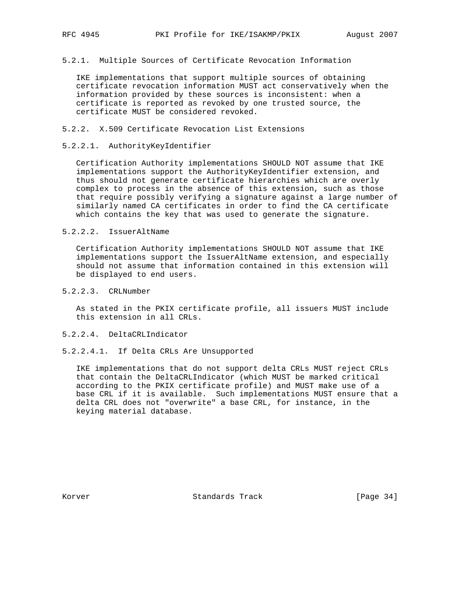## 5.2.1. Multiple Sources of Certificate Revocation Information

 IKE implementations that support multiple sources of obtaining certificate revocation information MUST act conservatively when the information provided by these sources is inconsistent: when a certificate is reported as revoked by one trusted source, the certificate MUST be considered revoked.

## 5.2.2. X.509 Certificate Revocation List Extensions

## 5.2.2.1. AuthorityKeyIdentifier

 Certification Authority implementations SHOULD NOT assume that IKE implementations support the AuthorityKeyIdentifier extension, and thus should not generate certificate hierarchies which are overly complex to process in the absence of this extension, such as those that require possibly verifying a signature against a large number of similarly named CA certificates in order to find the CA certificate which contains the key that was used to generate the signature.

## 5.2.2.2. IssuerAltName

 Certification Authority implementations SHOULD NOT assume that IKE implementations support the IssuerAltName extension, and especially should not assume that information contained in this extension will be displayed to end users.

## 5.2.2.3. CRLNumber

 As stated in the PKIX certificate profile, all issuers MUST include this extension in all CRLs.

## 5.2.2.4. DeltaCRLIndicator

## 5.2.2.4.1. If Delta CRLs Are Unsupported

 IKE implementations that do not support delta CRLs MUST reject CRLs that contain the DeltaCRLIndicator (which MUST be marked critical according to the PKIX certificate profile) and MUST make use of a base CRL if it is available. Such implementations MUST ensure that a delta CRL does not "overwrite" a base CRL, for instance, in the keying material database.

Korver 6. Standards Track [Page 34]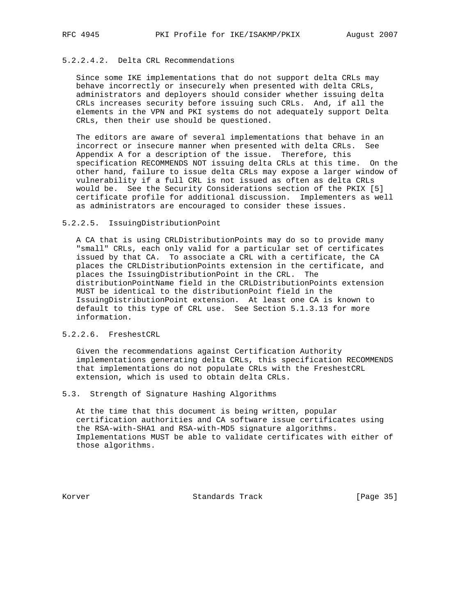## 5.2.2.4.2. Delta CRL Recommendations

 Since some IKE implementations that do not support delta CRLs may behave incorrectly or insecurely when presented with delta CRLs, administrators and deployers should consider whether issuing delta CRLs increases security before issuing such CRLs. And, if all the elements in the VPN and PKI systems do not adequately support Delta CRLs, then their use should be questioned.

 The editors are aware of several implementations that behave in an incorrect or insecure manner when presented with delta CRLs. See Appendix A for a description of the issue. Therefore, this specification RECOMMENDS NOT issuing delta CRLs at this time. On the other hand, failure to issue delta CRLs may expose a larger window of vulnerability if a full CRL is not issued as often as delta CRLs would be. See the Security Considerations section of the PKIX [5] certificate profile for additional discussion. Implementers as well as administrators are encouraged to consider these issues.

#### 5.2.2.5. IssuingDistributionPoint

 A CA that is using CRLDistributionPoints may do so to provide many "small" CRLs, each only valid for a particular set of certificates issued by that CA. To associate a CRL with a certificate, the CA places the CRLDistributionPoints extension in the certificate, and places the IssuingDistributionPoint in the CRL. The distributionPointName field in the CRLDistributionPoints extension MUST be identical to the distributionPoint field in the IssuingDistributionPoint extension. At least one CA is known to default to this type of CRL use. See Section 5.1.3.13 for more information.

## 5.2.2.6. FreshestCRL

 Given the recommendations against Certification Authority implementations generating delta CRLs, this specification RECOMMENDS that implementations do not populate CRLs with the FreshestCRL extension, which is used to obtain delta CRLs.

## 5.3. Strength of Signature Hashing Algorithms

 At the time that this document is being written, popular certification authorities and CA software issue certificates using the RSA-with-SHA1 and RSA-with-MD5 signature algorithms. Implementations MUST be able to validate certificates with either of those algorithms.

Korver **Standards Track** [Page 35]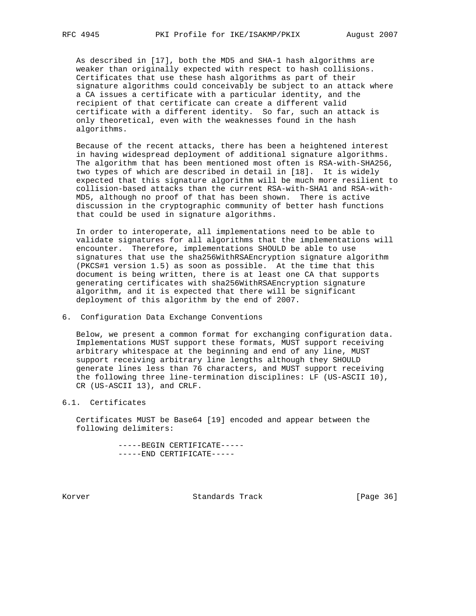As described in [17], both the MD5 and SHA-1 hash algorithms are weaker than originally expected with respect to hash collisions. Certificates that use these hash algorithms as part of their signature algorithms could conceivably be subject to an attack where a CA issues a certificate with a particular identity, and the recipient of that certificate can create a different valid certificate with a different identity. So far, such an attack is only theoretical, even with the weaknesses found in the hash algorithms.

 Because of the recent attacks, there has been a heightened interest in having widespread deployment of additional signature algorithms. The algorithm that has been mentioned most often is RSA-with-SHA256, two types of which are described in detail in [18]. It is widely expected that this signature algorithm will be much more resilient to collision-based attacks than the current RSA-with-SHA1 and RSA-with- MD5, although no proof of that has been shown. There is active discussion in the cryptographic community of better hash functions that could be used in signature algorithms.

 In order to interoperate, all implementations need to be able to validate signatures for all algorithms that the implementations will encounter. Therefore, implementations SHOULD be able to use signatures that use the sha256WithRSAEncryption signature algorithm (PKCS#1 version 1.5) as soon as possible. At the time that this document is being written, there is at least one CA that supports generating certificates with sha256WithRSAEncryption signature algorithm, and it is expected that there will be significant deployment of this algorithm by the end of 2007.

## 6. Configuration Data Exchange Conventions

 Below, we present a common format for exchanging configuration data. Implementations MUST support these formats, MUST support receiving arbitrary whitespace at the beginning and end of any line, MUST support receiving arbitrary line lengths although they SHOULD generate lines less than 76 characters, and MUST support receiving the following three line-termination disciplines: LF (US-ASCII 10), CR (US-ASCII 13), and CRLF.

## 6.1. Certificates

 Certificates MUST be Base64 [19] encoded and appear between the following delimiters:

> -----BEGIN CERTIFICATE----- -----END CERTIFICATE-----

Korver Standards Track [Page 36]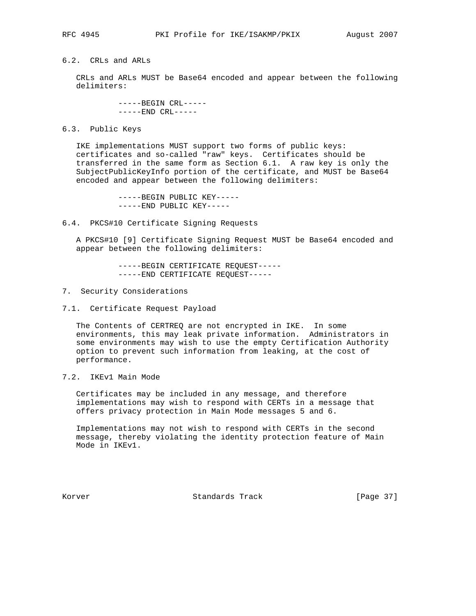## 6.2. CRLs and ARLs

 CRLs and ARLs MUST be Base64 encoded and appear between the following delimiters:

> -----BEGIN CRL----- -----END CRL-----

#### 6.3. Public Keys

 IKE implementations MUST support two forms of public keys: certificates and so-called "raw" keys. Certificates should be transferred in the same form as Section 6.1. A raw key is only the SubjectPublicKeyInfo portion of the certificate, and MUST be Base64 encoded and appear between the following delimiters:

> -----BEGIN PUBLIC KEY----- -----END PUBLIC KEY-----

6.4. PKCS#10 Certificate Signing Requests

 A PKCS#10 [9] Certificate Signing Request MUST be Base64 encoded and appear between the following delimiters:

> -----BEGIN CERTIFICATE REQUEST----- -----END CERTIFICATE REQUEST-----

- 7. Security Considerations
- 7.1. Certificate Request Payload

 The Contents of CERTREQ are not encrypted in IKE. In some environments, this may leak private information. Administrators in some environments may wish to use the empty Certification Authority option to prevent such information from leaking, at the cost of performance.

7.2. IKEv1 Main Mode

 Certificates may be included in any message, and therefore implementations may wish to respond with CERTs in a message that offers privacy protection in Main Mode messages 5 and 6.

 Implementations may not wish to respond with CERTs in the second message, thereby violating the identity protection feature of Main Mode in IKEv1.

Korver 6. Standards Track [Page 37]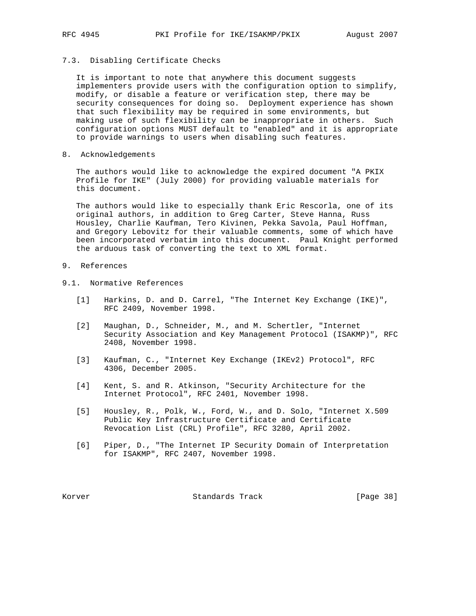# 7.3. Disabling Certificate Checks

 It is important to note that anywhere this document suggests implementers provide users with the configuration option to simplify, modify, or disable a feature or verification step, there may be security consequences for doing so. Deployment experience has shown that such flexibility may be required in some environments, but making use of such flexibility can be inappropriate in others. Such configuration options MUST default to "enabled" and it is appropriate to provide warnings to users when disabling such features.

8. Acknowledgements

 The authors would like to acknowledge the expired document "A PKIX Profile for IKE" (July 2000) for providing valuable materials for this document.

 The authors would like to especially thank Eric Rescorla, one of its original authors, in addition to Greg Carter, Steve Hanna, Russ Housley, Charlie Kaufman, Tero Kivinen, Pekka Savola, Paul Hoffman, and Gregory Lebovitz for their valuable comments, some of which have been incorporated verbatim into this document. Paul Knight performed the arduous task of converting the text to XML format.

# 9. References

# 9.1. Normative References

- [1] Harkins, D. and D. Carrel, "The Internet Key Exchange (IKE)", RFC 2409, November 1998.
- [2] Maughan, D., Schneider, M., and M. Schertler, "Internet Security Association and Key Management Protocol (ISAKMP)", RFC 2408, November 1998.
- [3] Kaufman, C., "Internet Key Exchange (IKEv2) Protocol", RFC 4306, December 2005.
- [4] Kent, S. and R. Atkinson, "Security Architecture for the Internet Protocol", RFC 2401, November 1998.
- [5] Housley, R., Polk, W., Ford, W., and D. Solo, "Internet X.509 Public Key Infrastructure Certificate and Certificate Revocation List (CRL) Profile", RFC 3280, April 2002.
- [6] Piper, D., "The Internet IP Security Domain of Interpretation for ISAKMP", RFC 2407, November 1998.

Korver Standards Track [Page 38]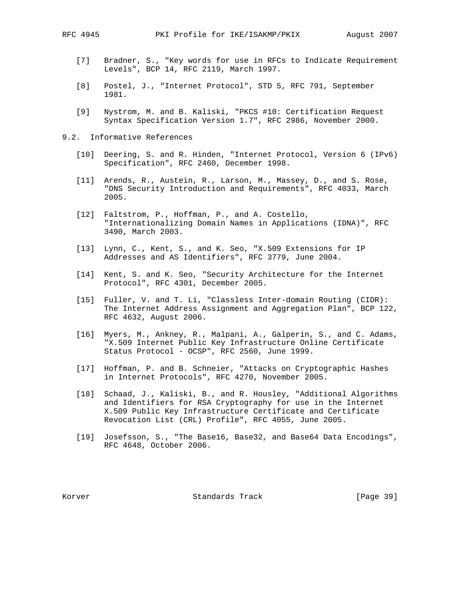- [7] Bradner, S., "Key words for use in RFCs to Indicate Requirement Levels", BCP 14, RFC 2119, March 1997.
- [8] Postel, J., "Internet Protocol", STD 5, RFC 791, September 1981.
- [9] Nystrom, M. and B. Kaliski, "PKCS #10: Certification Request Syntax Specification Version 1.7", RFC 2986, November 2000.
- 9.2. Informative References
	- [10] Deering, S. and R. Hinden, "Internet Protocol, Version 6 (IPv6) Specification", RFC 2460, December 1998.
	- [11] Arends, R., Austein, R., Larson, M., Massey, D., and S. Rose, "DNS Security Introduction and Requirements", RFC 4033, March 2005.
	- [12] Faltstrom, P., Hoffman, P., and A. Costello, "Internationalizing Domain Names in Applications (IDNA)", RFC 3490, March 2003.
	- [13] Lynn, C., Kent, S., and K. Seo, "X.509 Extensions for IP Addresses and AS Identifiers", RFC 3779, June 2004.
	- [14] Kent, S. and K. Seo, "Security Architecture for the Internet Protocol", RFC 4301, December 2005.
	- [15] Fuller, V. and T. Li, "Classless Inter-domain Routing (CIDR): The Internet Address Assignment and Aggregation Plan", BCP 122, RFC 4632, August 2006.
	- [16] Myers, M., Ankney, R., Malpani, A., Galperin, S., and C. Adams, "X.509 Internet Public Key Infrastructure Online Certificate Status Protocol - OCSP", RFC 2560, June 1999.
	- [17] Hoffman, P. and B. Schneier, "Attacks on Cryptographic Hashes in Internet Protocols", RFC 4270, November 2005.
	- [18] Schaad, J., Kaliski, B., and R. Housley, "Additional Algorithms and Identifiers for RSA Cryptography for use in the Internet X.509 Public Key Infrastructure Certificate and Certificate Revocation List (CRL) Profile", RFC 4055, June 2005.
	- [19] Josefsson, S., "The Base16, Base32, and Base64 Data Encodings", RFC 4648, October 2006.

Korver **Standards Track** [Page 39]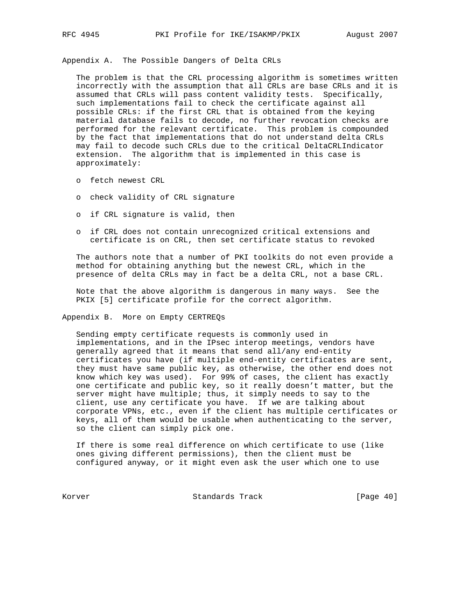Appendix A. The Possible Dangers of Delta CRLs

 The problem is that the CRL processing algorithm is sometimes written incorrectly with the assumption that all CRLs are base CRLs and it is assumed that CRLs will pass content validity tests. Specifically, such implementations fail to check the certificate against all possible CRLs: if the first CRL that is obtained from the keying material database fails to decode, no further revocation checks are performed for the relevant certificate. This problem is compounded by the fact that implementations that do not understand delta CRLs may fail to decode such CRLs due to the critical DeltaCRLIndicator extension. The algorithm that is implemented in this case is approximately:

- o fetch newest CRL
- o check validity of CRL signature
- o if CRL signature is valid, then
- o if CRL does not contain unrecognized critical extensions and certificate is on CRL, then set certificate status to revoked

 The authors note that a number of PKI toolkits do not even provide a method for obtaining anything but the newest CRL, which in the presence of delta CRLs may in fact be a delta CRL, not a base CRL.

 Note that the above algorithm is dangerous in many ways. See the PKIX [5] certificate profile for the correct algorithm.

Appendix B. More on Empty CERTREQs

 Sending empty certificate requests is commonly used in implementations, and in the IPsec interop meetings, vendors have generally agreed that it means that send all/any end-entity certificates you have (if multiple end-entity certificates are sent, they must have same public key, as otherwise, the other end does not know which key was used). For 99% of cases, the client has exactly one certificate and public key, so it really doesn't matter, but the server might have multiple; thus, it simply needs to say to the client, use any certificate you have. If we are talking about corporate VPNs, etc., even if the client has multiple certificates or keys, all of them would be usable when authenticating to the server, so the client can simply pick one.

 If there is some real difference on which certificate to use (like ones giving different permissions), then the client must be configured anyway, or it might even ask the user which one to use

Korver Standards Track [Page 40]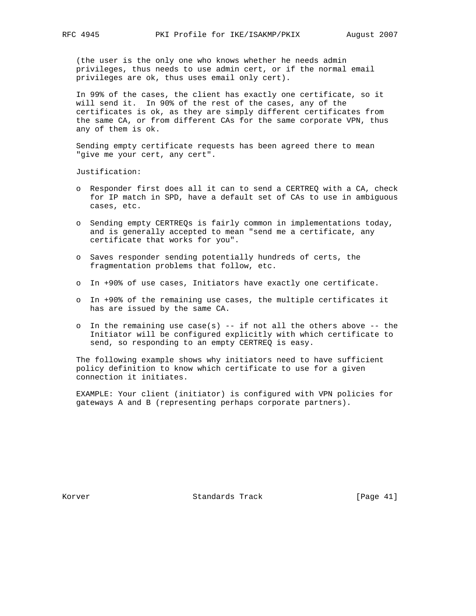(the user is the only one who knows whether he needs admin privileges, thus needs to use admin cert, or if the normal email privileges are ok, thus uses email only cert).

 In 99% of the cases, the client has exactly one certificate, so it will send it. In 90% of the rest of the cases, any of the certificates is ok, as they are simply different certificates from the same CA, or from different CAs for the same corporate VPN, thus any of them is ok.

 Sending empty certificate requests has been agreed there to mean "give me your cert, any cert".

Justification:

- o Responder first does all it can to send a CERTREQ with a CA, check for IP match in SPD, have a default set of CAs to use in ambiguous cases, etc.
- o Sending empty CERTREQs is fairly common in implementations today, and is generally accepted to mean "send me a certificate, any certificate that works for you".
- o Saves responder sending potentially hundreds of certs, the fragmentation problems that follow, etc.
- o In +90% of use cases, Initiators have exactly one certificate.
- o In +90% of the remaining use cases, the multiple certificates it has are issued by the same CA.
- o In the remaining use case(s)  $-$  if not all the others above  $-$  the Initiator will be configured explicitly with which certificate to send, so responding to an empty CERTREQ is easy.

 The following example shows why initiators need to have sufficient policy definition to know which certificate to use for a given connection it initiates.

 EXAMPLE: Your client (initiator) is configured with VPN policies for gateways A and B (representing perhaps corporate partners).

Korver Standards Track [Page 41]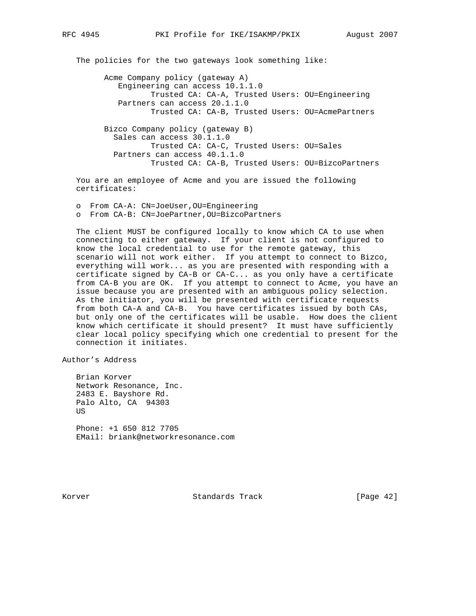The policies for the two gateways look something like:

 Acme Company policy (gateway A) Engineering can access 10.1.1.0 Trusted CA: CA-A, Trusted Users: OU=Engineering Partners can access 20.1.1.0 Trusted CA: CA-B, Trusted Users: OU=AcmePartners

 Bizco Company policy (gateway B) Sales can access 30.1.1.0 Trusted CA: CA-C, Trusted Users: OU=Sales Partners can access 40.1.1.0 Trusted CA: CA-B, Trusted Users: OU=BizcoPartners

 You are an employee of Acme and you are issued the following certificates:

 o From CA-A: CN=JoeUser,OU=Engineering o From CA-B: CN=JoePartner,OU=BizcoPartners

 The client MUST be configured locally to know which CA to use when connecting to either gateway. If your client is not configured to know the local credential to use for the remote gateway, this scenario will not work either. If you attempt to connect to Bizco, everything will work... as you are presented with responding with a certificate signed by CA-B or CA-C... as you only have a certificate from CA-B you are OK. If you attempt to connect to Acme, you have an issue because you are presented with an ambiguous policy selection. As the initiator, you will be presented with certificate requests from both CA-A and CA-B. You have certificates issued by both CAs, but only one of the certificates will be usable. How does the client know which certificate it should present? It must have sufficiently clear local policy specifying which one credential to present for the connection it initiates.

Author's Address

 Brian Korver Network Resonance, Inc. 2483 E. Bayshore Rd. Palo Alto, CA 94303 US Phone: +1 650 812 7705 EMail: briank@networkresonance.com

Korver **Standards Track** [Page 42]